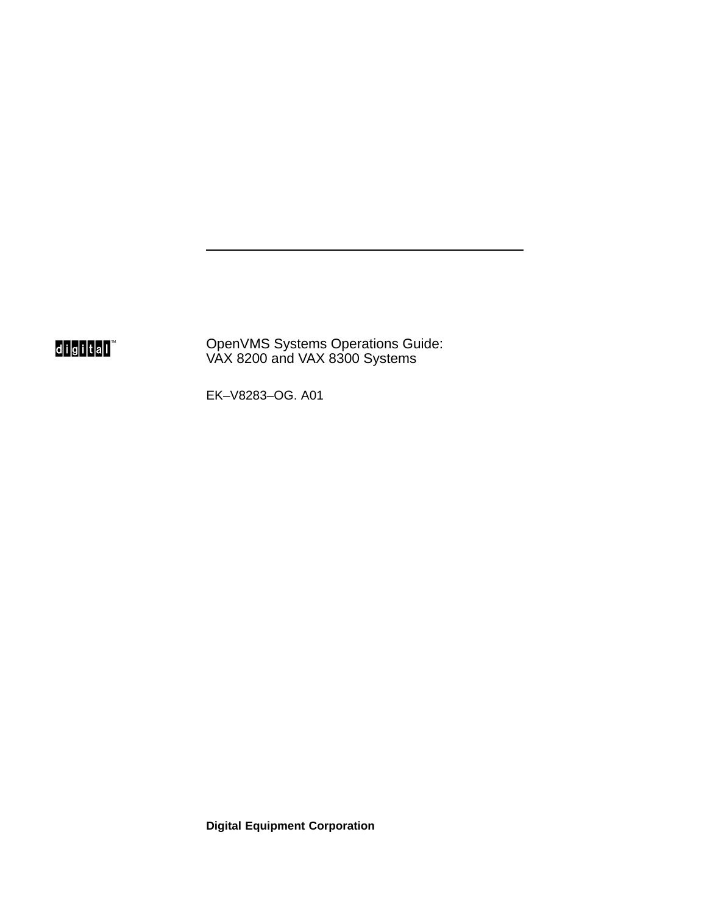digital<sup>"</sup>

OpenVMS Systems Operations Guide: VAX 8200 and VAX 8300 Systems

EK–V8283–OG. A01

**Digital Equipment Corporation**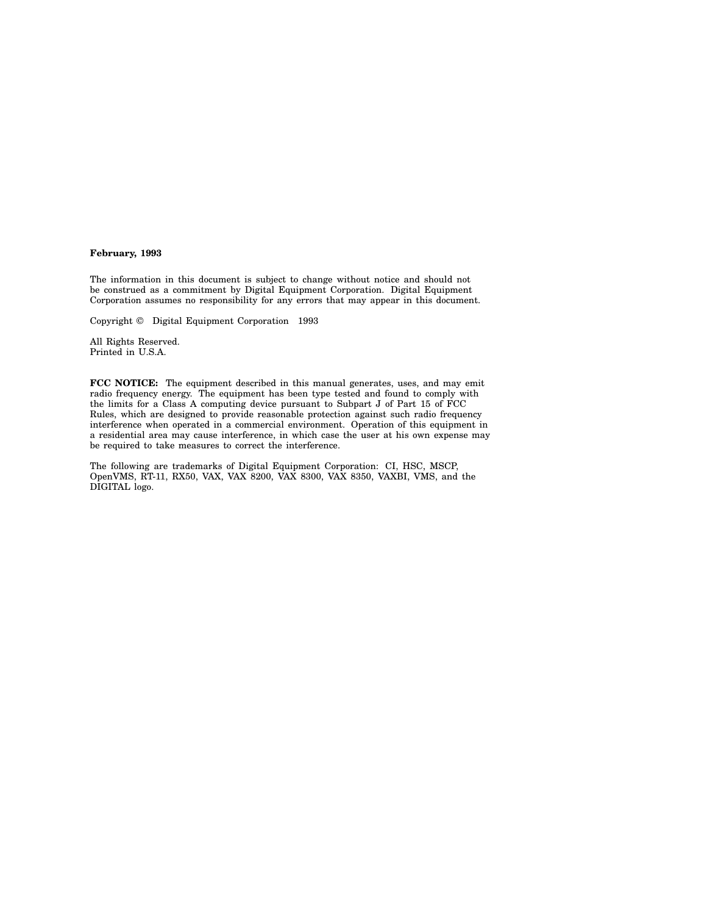#### **February, 1993**

The information in this document is subject to change without notice and should not be construed as a commitment by Digital Equipment Corporation. Digital Equipment Corporation assumes no responsibility for any errors that may appear in this document.

Copyright © Digital Equipment Corporation 1993

All Rights Reserved. Printed in U.S.A.

**FCC NOTICE:** The equipment described in this manual generates, uses, and may emit radio frequency energy. The equipment has been type tested and found to comply with the limits for a Class A computing device pursuant to Subpart J of Part 15 of FCC Rules, which are designed to provide reasonable protection against such radio frequency interference when operated in a commercial environment. Operation of this equipment in a residential area may cause interference, in which case the user at his own expense may be required to take measures to correct the interference.

The following are trademarks of Digital Equipment Corporation: CI, HSC, MSCP, OpenVMS, RT-11, RX50, VAX, VAX 8200, VAX 8300, VAX 8350, VAXBI, VMS, and the DIGITAL logo.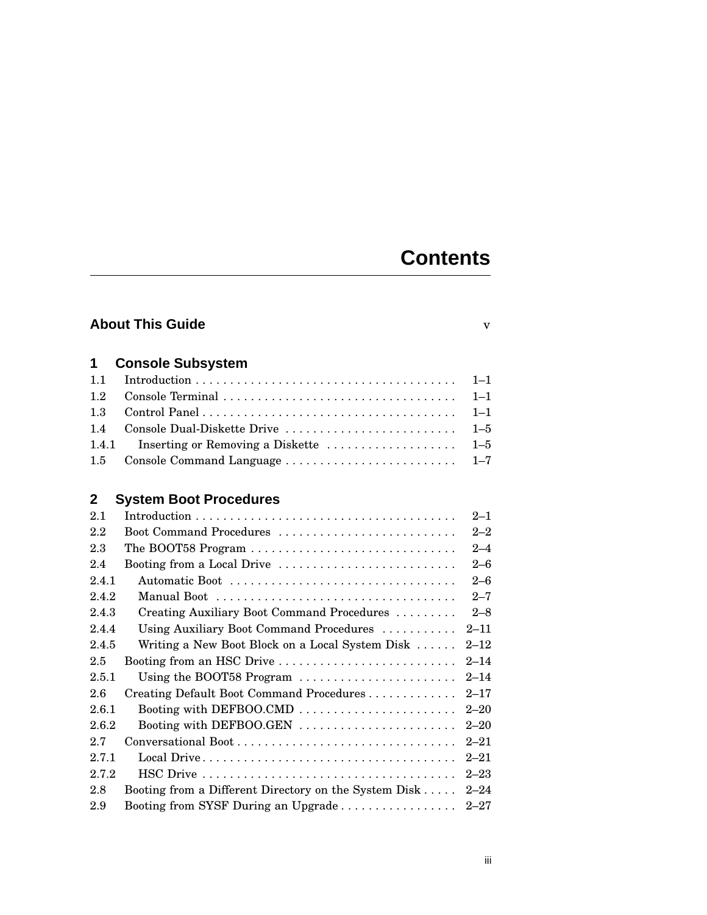## **Contents**

| <b>About This Guide</b><br>v |                                                       |          |
|------------------------------|-------------------------------------------------------|----------|
|                              |                                                       |          |
| 1                            | <b>Console Subsystem</b>                              |          |
| 1.1                          |                                                       | $1 - 1$  |
| 1.2                          | Console Terminal                                      | $1 - 1$  |
| 1.3                          |                                                       | $1 - 1$  |
| 1.4                          | Console Dual-Diskette Drive                           | $1 - 5$  |
| 1.4.1                        | Inserting or Removing a Diskette                      | $1 - 5$  |
| 1.5                          | Console Command Language                              | $1 - 7$  |
|                              |                                                       |          |
| $\mathbf{2}$                 | <b>System Boot Procedures</b>                         |          |
| 2.1                          |                                                       | $2 - 1$  |
| 2.2                          | Boot Command Procedures                               | $2 - 2$  |
| 2.3                          | The BOOT58 Program                                    | $2 - 4$  |
| 2.4                          | Booting from a Local Drive                            | $2 - 6$  |
| 2.4.1                        | Automatic Boot                                        | $2 - 6$  |
| 2.4.2                        |                                                       | $2 - 7$  |
| 2.4.3                        | Creating Auxiliary Boot Command Procedures            | $2 - 8$  |
| 2.4.4                        | Using Auxiliary Boot Command Procedures               | $2 - 11$ |
| 2.4.5                        | Writing a New Boot Block on a Local System Disk       | $2 - 12$ |
| 2.5                          | Booting from an HSC Drive                             | $2 - 14$ |
| 2.5.1                        | Using the BOOT58 Program                              | $2 - 14$ |
| 2.6                          | Creating Default Boot Command Procedures              | $2 - 17$ |
| 2.6.1                        | Booting with DEFBOO.CMD                               | $2 - 20$ |
| 2.6.2                        | Booting with DEFBOO.GEN                               | $2 - 20$ |
| 2.7                          |                                                       | $2 - 21$ |
| 2.7.1                        |                                                       | $2 - 21$ |
| 2.7.2                        |                                                       | $2 - 23$ |
| 2.8                          | Booting from a Different Directory on the System Disk | $2 - 24$ |
| 2.9                          | Booting from SYSF During an Upgrade                   | $2 - 27$ |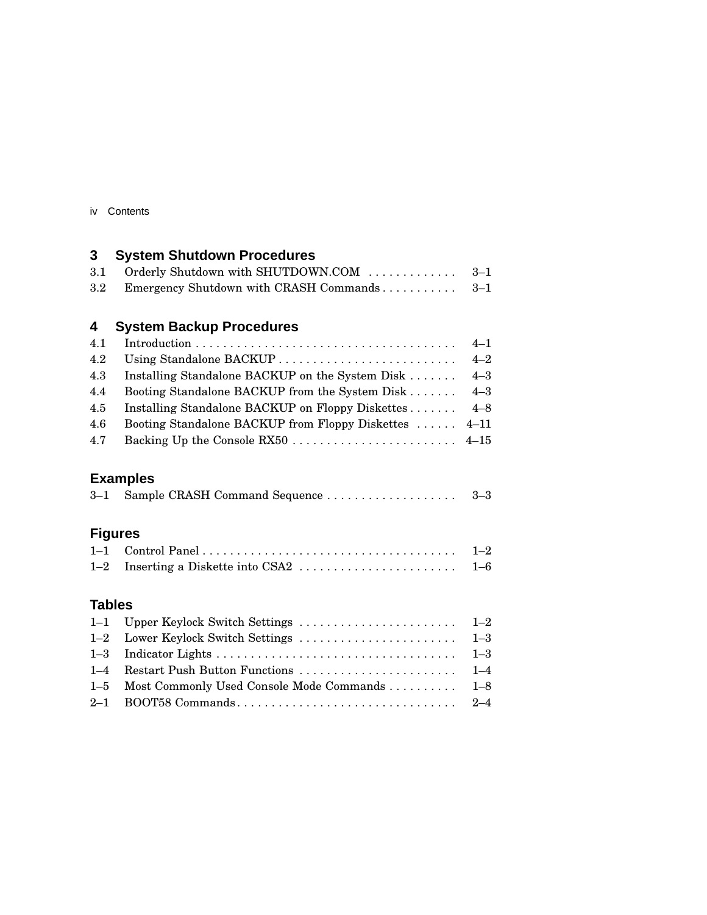| Contents<br>IV |  |
|----------------|--|
|----------------|--|

## **3 System Shutdown Procedures**

| 3.1 Orderly Shutdown with SHUTDOWN.COM  3–1    |  |
|------------------------------------------------|--|
| 3.2 Emergency Shutdown with CRASH Commands 3–1 |  |

### **4 System Backup Procedures**

| 4.2 |                                                       |         |
|-----|-------------------------------------------------------|---------|
| 4.3 | Installing Standalone BACKUP on the System Disk       | $4 - 3$ |
| 4.4 | Booting Standalone BACKUP from the System Disk        | $4 - 3$ |
| 4.5 | Installing Standalone BACKUP on Floppy Diskettes 4–8  |         |
| 4.6 | Booting Standalone BACKUP from Floppy Diskettes  4–11 |         |
| 4.7 |                                                       |         |
|     |                                                       |         |

### **Examples**

|--|--|--|

## **Figures**

### **Tables**

| 1-5 Most Commonly Used Console Mode Commands  1-8 |  |
|---------------------------------------------------|--|
|                                                   |  |
|                                                   |  |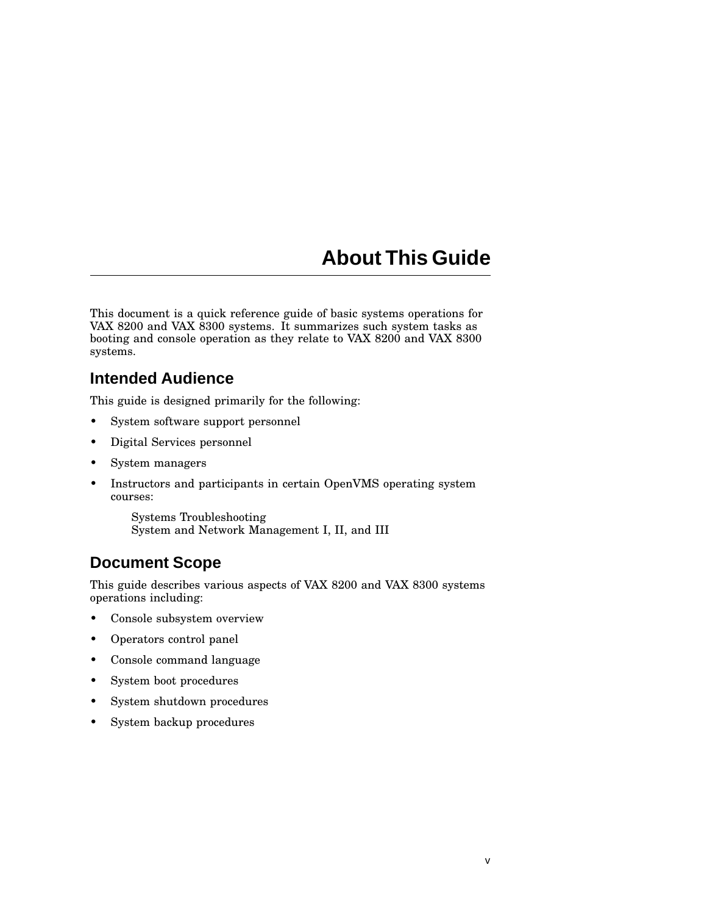## **About This Guide**

This document is a quick reference guide of basic systems operations for VAX 8200 and VAX 8300 systems. It summarizes such system tasks as booting and console operation as they relate to VAX 8200 and VAX 8300 systems.

### **Intended Audience**

This guide is designed primarily for the following:

- System software support personnel
- Digital Services personnel
- System managers
- Instructors and participants in certain OpenVMS operating system courses:

Systems Troubleshooting System and Network Management I, II, and III

### **Document Scope**

This guide describes various aspects of VAX 8200 and VAX 8300 systems operations including:

- Console subsystem overview
- Operators control panel
- Console command language
- System boot procedures
- System shutdown procedures
- System backup procedures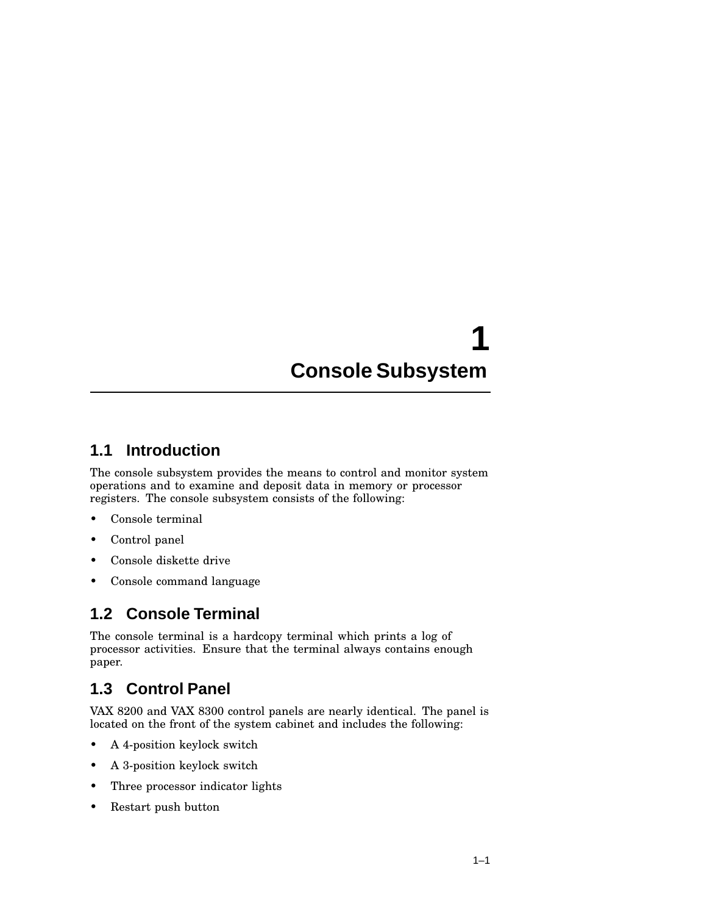# **1 Console Subsystem**

### **1.1 Introduction**

The console subsystem provides the means to control and monitor system operations and to examine and deposit data in memory or processor registers. The console subsystem consists of the following:

- Console terminal
- Control panel
- Console diskette drive
- Console command language

### **1.2 Console Terminal**

The console terminal is a hardcopy terminal which prints a log of processor activities. Ensure that the terminal always contains enough paper.

### **1.3 Control Panel**

VAX 8200 and VAX 8300 control panels are nearly identical. The panel is located on the front of the system cabinet and includes the following:

- A 4-position keylock switch
- A 3-position keylock switch
- Three processor indicator lights
- Restart push button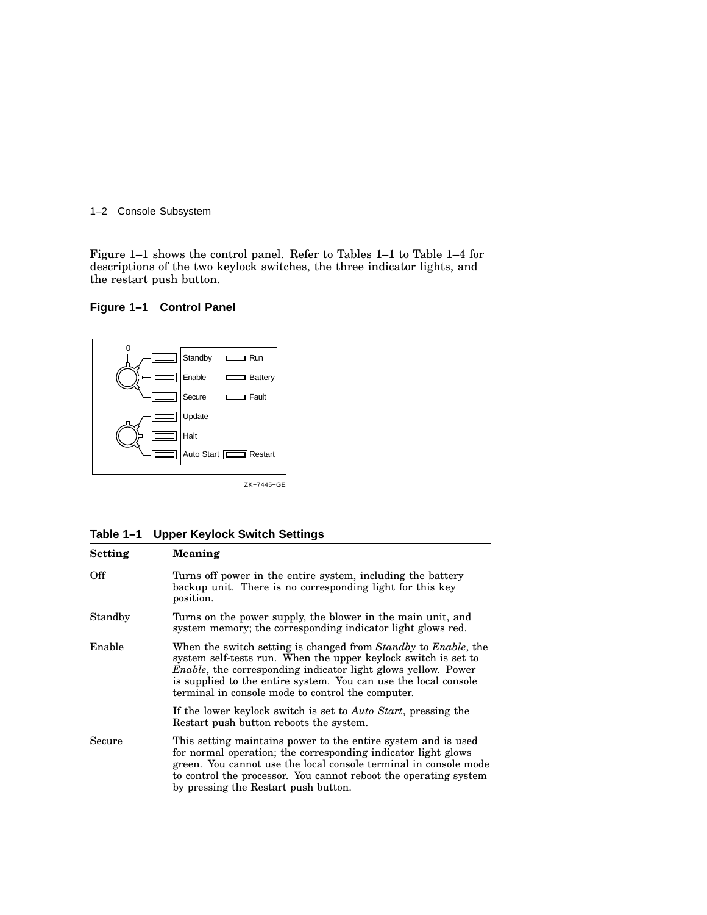#### 1–2 Console Subsystem

Figure 1–1 shows the control panel. Refer to Tables 1–1 to Table 1–4 for descriptions of the two keylock switches, the three indicator lights, and the restart push button.





| Table 1-1 Upper Keylock Switch Settings |  |  |  |
|-----------------------------------------|--|--|--|
|-----------------------------------------|--|--|--|

| <b>Setting</b> | <b>Meaning</b>                                                                                                                                                                                                                                                                                                                                   |  |
|----------------|--------------------------------------------------------------------------------------------------------------------------------------------------------------------------------------------------------------------------------------------------------------------------------------------------------------------------------------------------|--|
| Off            | Turns off power in the entire system, including the battery<br>backup unit. There is no corresponding light for this key<br>position.                                                                                                                                                                                                            |  |
| Standby        | Turns on the power supply, the blower in the main unit, and<br>system memory; the corresponding indicator light glows red.                                                                                                                                                                                                                       |  |
| Enable         | When the switch setting is changed from <i>Standby</i> to <i>Enable</i> , the<br>system self-tests run. When the upper keylock switch is set to<br><i>Enable</i> , the corresponding indicator light glows yellow. Power<br>is supplied to the entire system. You can use the local console<br>terminal in console mode to control the computer. |  |
|                | If the lower keylock switch is set to Auto Start, pressing the<br>Restart push button reboots the system.                                                                                                                                                                                                                                        |  |
| Secure         | This setting maintains power to the entire system and is used<br>for normal operation; the corresponding indicator light glows<br>green. You cannot use the local console terminal in console mode<br>to control the processor. You cannot reboot the operating system<br>by pressing the Restart push button.                                   |  |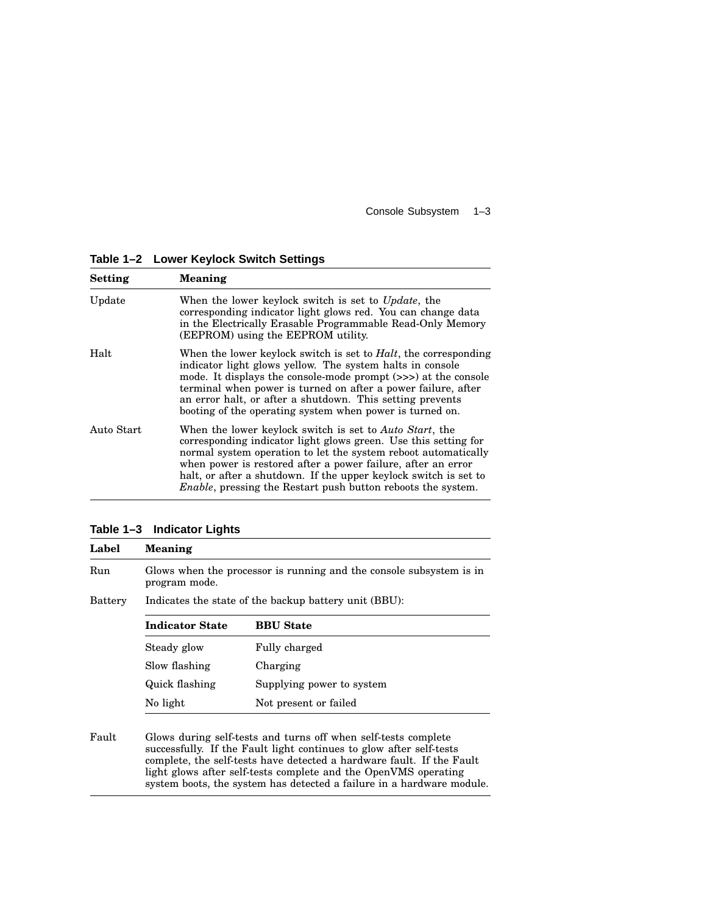Console Subsystem 1–3

**Table 1–2 Lower Keylock Switch Settings**

| Setting    | <b>Meaning</b>                                                                                                                                                                                                                                                                                                                                                                                   |  |
|------------|--------------------------------------------------------------------------------------------------------------------------------------------------------------------------------------------------------------------------------------------------------------------------------------------------------------------------------------------------------------------------------------------------|--|
| Update     | When the lower keylock switch is set to <i>Update</i> , the<br>corresponding indicator light glows red. You can change data<br>in the Electrically Erasable Programmable Read-Only Memory<br>(EEPROM) using the EEPROM utility.                                                                                                                                                                  |  |
| Halt       | When the lower keylock switch is set to <i>Halt</i> , the corresponding<br>indicator light glows yellow. The system halts in console<br>mode. It displays the console-mode prompt (>>>) at the console<br>terminal when power is turned on after a power failure, after<br>an error halt, or after a shutdown. This setting prevents<br>booting of the operating system when power is turned on. |  |
| Auto Start | When the lower keylock switch is set to Auto Start, the<br>corresponding indicator light glows green. Use this setting for<br>normal system operation to let the system reboot automatically<br>when power is restored after a power failure, after an error<br>halt, or after a shutdown. If the upper keylock switch is set to<br>Enable, pressing the Restart push button reboots the system. |  |

**Table 1–3 Indicator Lights**

| Label   | <b>Meaning</b>                                                                       |                           |  |
|---------|--------------------------------------------------------------------------------------|---------------------------|--|
| Run     | Glows when the processor is running and the console subsystem is in<br>program mode. |                           |  |
| Battery | Indicates the state of the backup battery unit (BBU):                                |                           |  |
|         | <b>Indicator State</b>                                                               | <b>BBU</b> State          |  |
|         | Steady glow                                                                          | Fully charged             |  |
|         | Slow flashing                                                                        | Charging                  |  |
|         | Quick flashing                                                                       | Supplying power to system |  |
|         | No light<br>Not present or failed                                                    |                           |  |
|         |                                                                                      |                           |  |

Fault Glows during self-tests and turns off when self-tests complete successfully. If the Fault light continues to glow after self-tests complete, the self-tests have detected a hardware fault. If the Fault light glows after self-tests complete and the OpenVMS operating system boots, the system has detected a failure in a hardware module.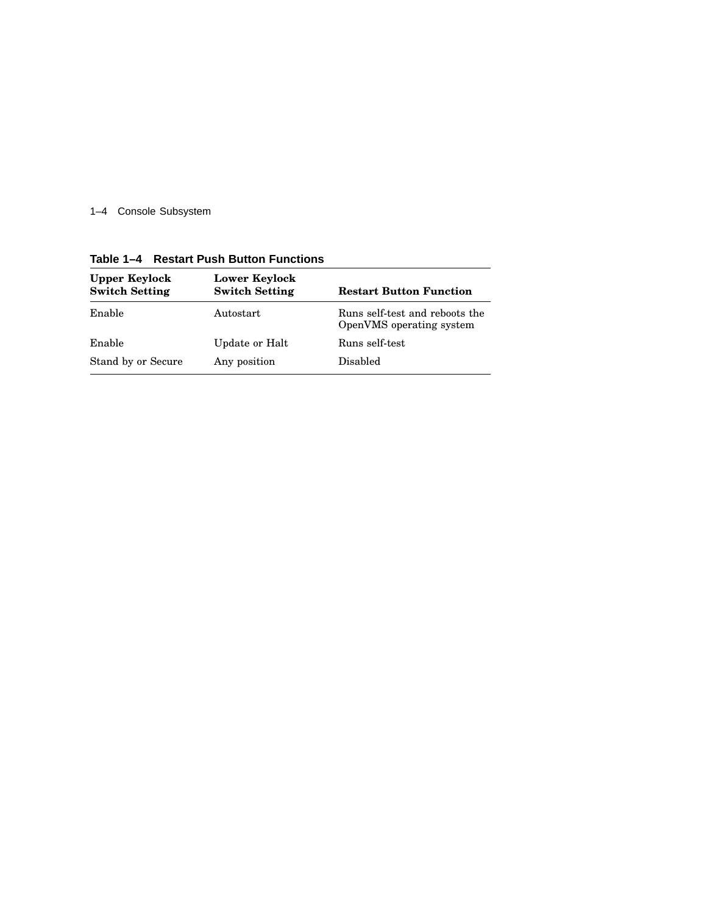1–4 Console Subsystem

| טווטווט ו די וועשון ועסו ושפטור די ר   |                                        |                                                            |  |
|----------------------------------------|----------------------------------------|------------------------------------------------------------|--|
| Upper Keylock<br><b>Switch Setting</b> | Lower Keylock<br><b>Switch Setting</b> | <b>Restart Button Function</b>                             |  |
| Enable                                 | Autostart                              | Runs self-test and reboots the<br>OpenVMS operating system |  |
| Enable                                 | Update or Halt                         | Runs self-test                                             |  |
| Stand by or Secure                     | Any position                           | Disabled                                                   |  |

**Table 1–4 Restart Push Button Functions**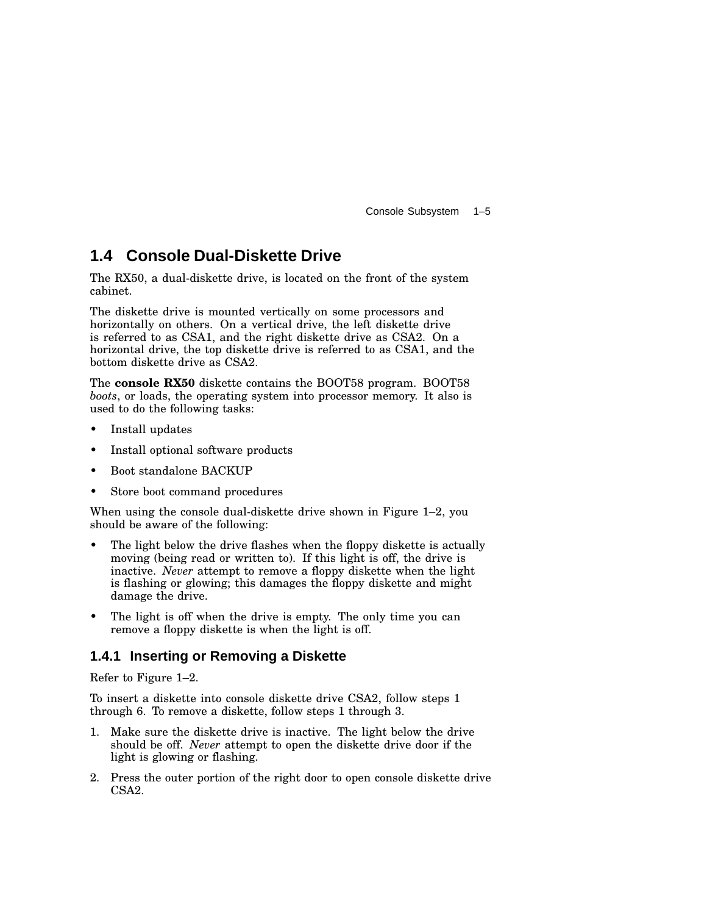Console Subsystem 1–5

### **1.4 Console Dual-Diskette Drive**

The RX50, a dual-diskette drive, is located on the front of the system cabinet.

The diskette drive is mounted vertically on some processors and horizontally on others. On a vertical drive, the left diskette drive is referred to as CSA1, and the right diskette drive as CSA2. On a horizontal drive, the top diskette drive is referred to as CSA1, and the bottom diskette drive as CSA2.

The **console RX50** diskette contains the BOOT58 program. BOOT58 *boots*, or loads, the operating system into processor memory. It also is used to do the following tasks:

- Install updates
- Install optional software products
- Boot standalone BACKUP
- Store boot command procedures

When using the console dual-diskette drive shown in Figure 1–2, you should be aware of the following:

- The light below the drive flashes when the floppy diskette is actually moving (being read or written to). If this light is off, the drive is inactive. *Never* attempt to remove a floppy diskette when the light is flashing or glowing; this damages the floppy diskette and might damage the drive.
- The light is off when the drive is empty. The only time you can remove a floppy diskette is when the light is off.

### **1.4.1 Inserting or Removing a Diskette**

Refer to Figure 1–2.

To insert a diskette into console diskette drive CSA2, follow steps 1 through 6. To remove a diskette, follow steps 1 through 3.

- 1. Make sure the diskette drive is inactive. The light below the drive should be off. *Never* attempt to open the diskette drive door if the light is glowing or flashing.
- 2. Press the outer portion of the right door to open console diskette drive CSA2.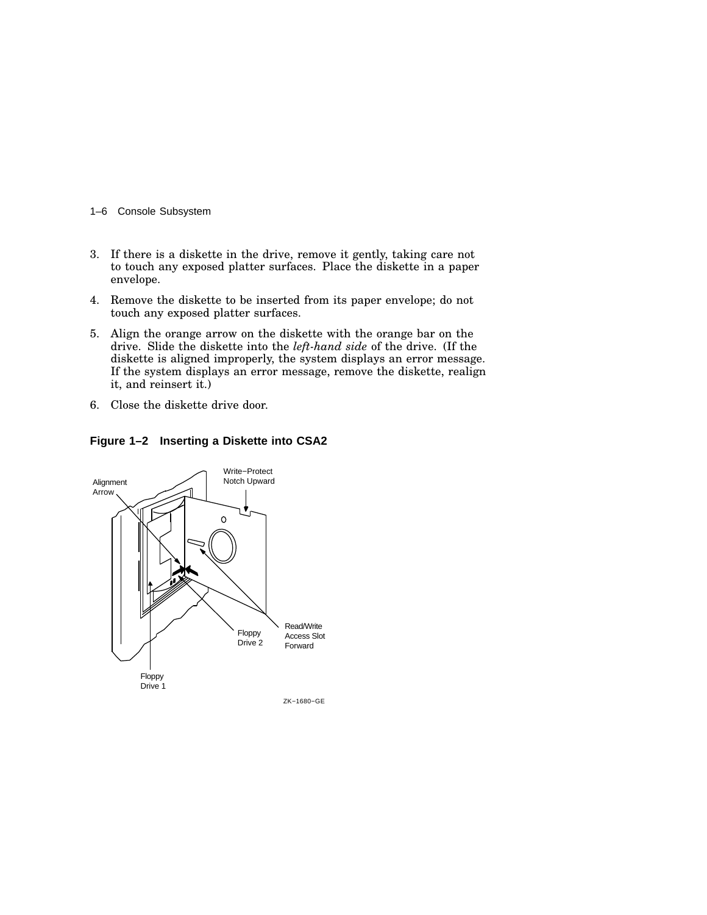- 1–6 Console Subsystem
- 3. If there is a diskette in the drive, remove it gently, taking care not to touch any exposed platter surfaces. Place the diskette in a paper envelope.
- 4. Remove the diskette to be inserted from its paper envelope; do not touch any exposed platter surfaces.
- 5. Align the orange arrow on the diskette with the orange bar on the drive. Slide the diskette into the *left-hand side* of the drive. (If the diskette is aligned improperly, the system displays an error message. If the system displays an error message, remove the diskette, realign it, and reinsert it.)
- 6. Close the diskette drive door.

**Figure 1–2 Inserting a Diskette into CSA2**

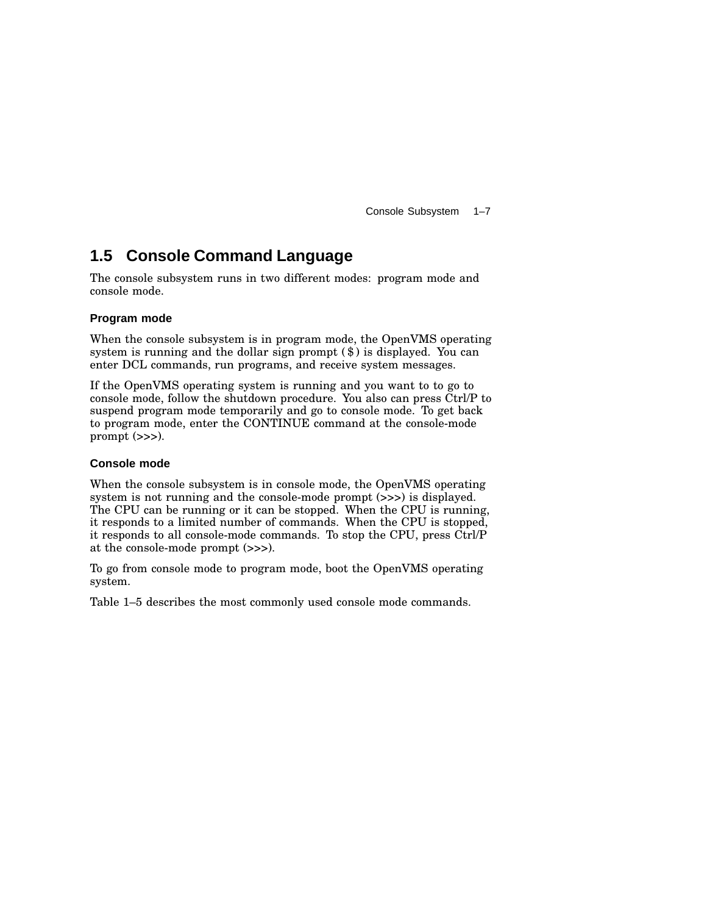Console Subsystem 1–7

### **1.5 Console Command Language**

The console subsystem runs in two different modes: program mode and console mode.

#### **Program mode**

When the console subsystem is in program mode, the OpenVMS operating system is running and the dollar sign prompt (\$) is displayed. You can enter DCL commands, run programs, and receive system messages.

If the OpenVMS operating system is running and you want to to go to console mode, follow the shutdown procedure. You also can press Ctrl/P to suspend program mode temporarily and go to console mode. To get back to program mode, enter the CONTINUE command at the console-mode prompt  $(\gg)$ .

#### **Console mode**

When the console subsystem is in console mode, the OpenVMS operating system is not running and the console-mode prompt (>>>) is displayed. The CPU can be running or it can be stopped. When the CPU is running, it responds to a limited number of commands. When the CPU is stopped, it responds to all console-mode commands. To stop the CPU, press Ctrl/P at the console-mode prompt (>>>).

To go from console mode to program mode, boot the OpenVMS operating system.

Table 1–5 describes the most commonly used console mode commands.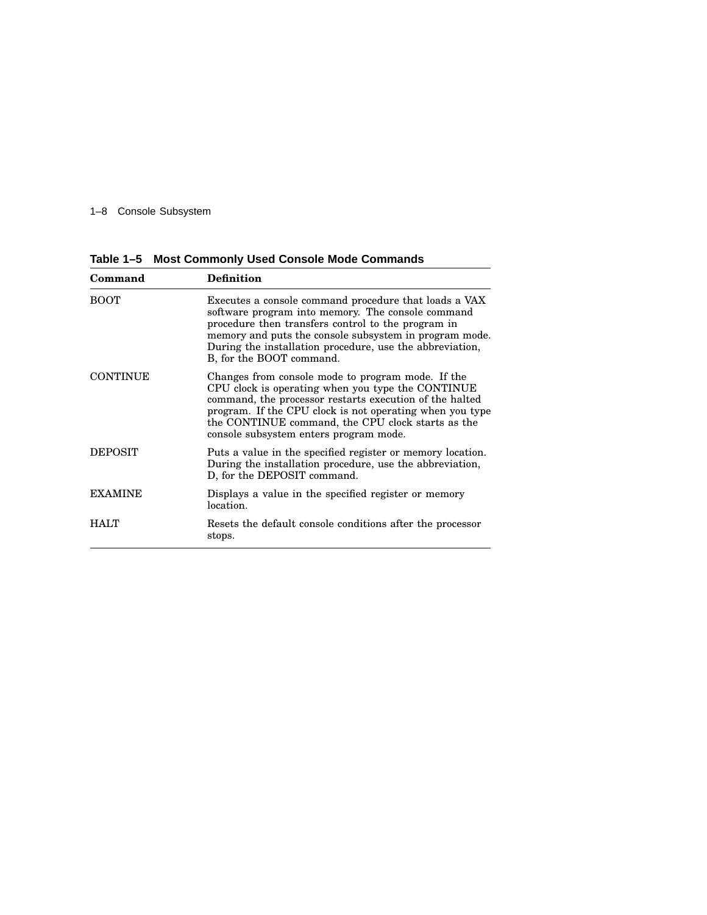#### 1–8 Console Subsystem

**Table 1–5 Most Commonly Used Console Mode Commands**

| Command         | <b>Definition</b>                                                                                                                                                                                                                                                                                                            |  |
|-----------------|------------------------------------------------------------------------------------------------------------------------------------------------------------------------------------------------------------------------------------------------------------------------------------------------------------------------------|--|
| <b>BOOT</b>     | Executes a console command procedure that loads a VAX<br>software program into memory. The console command<br>procedure then transfers control to the program in<br>memory and puts the console subsystem in program mode.<br>During the installation procedure, use the abbreviation,<br>B, for the BOOT command.           |  |
| <b>CONTINUE</b> | Changes from console mode to program mode. If the<br>CPU clock is operating when you type the CONTINUE<br>command, the processor restarts execution of the halted<br>program. If the CPU clock is not operating when you type<br>the CONTINUE command, the CPU clock starts as the<br>console subsystem enters program mode. |  |
| <b>DEPOSIT</b>  | Puts a value in the specified register or memory location.<br>During the installation procedure, use the abbreviation,<br>D, for the DEPOSIT command.                                                                                                                                                                        |  |
| <b>EXAMINE</b>  | Displays a value in the specified register or memory<br>location.                                                                                                                                                                                                                                                            |  |
| <b>HALT</b>     | Resets the default console conditions after the processor<br>stops.                                                                                                                                                                                                                                                          |  |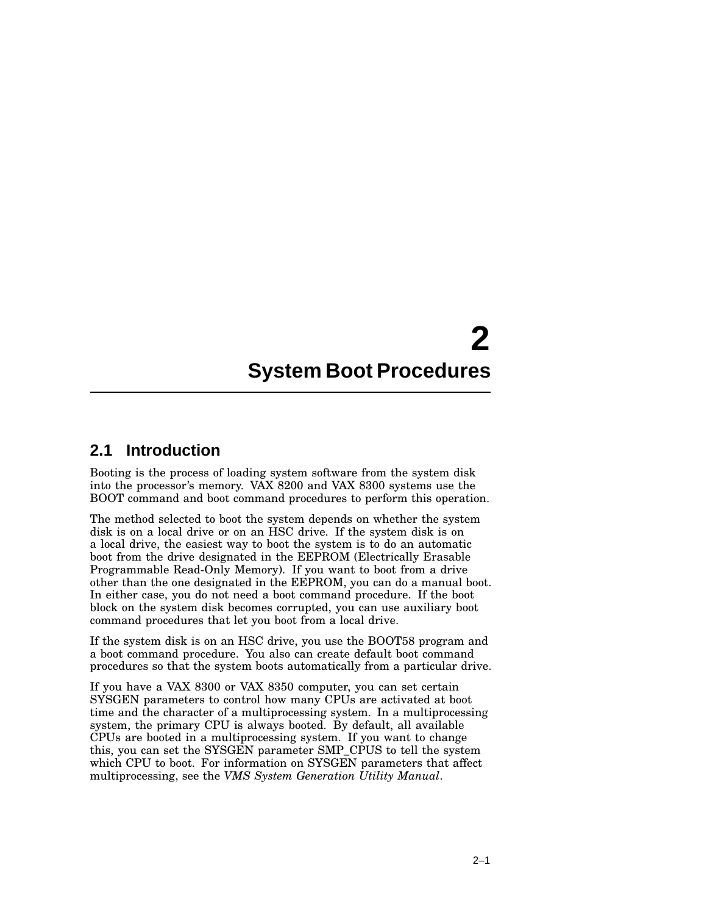### **2.1 Introduction**

Booting is the process of loading system software from the system disk into the processor's memory. VAX 8200 and VAX 8300 systems use the BOOT command and boot command procedures to perform this operation.

The method selected to boot the system depends on whether the system disk is on a local drive or on an HSC drive. If the system disk is on a local drive, the easiest way to boot the system is to do an automatic boot from the drive designated in the EEPROM (Electrically Erasable Programmable Read-Only Memory). If you want to boot from a drive other than the one designated in the EEPROM, you can do a manual boot. In either case, you do not need a boot command procedure. If the boot block on the system disk becomes corrupted, you can use auxiliary boot command procedures that let you boot from a local drive.

If the system disk is on an HSC drive, you use the BOOT58 program and a boot command procedure. You also can create default boot command procedures so that the system boots automatically from a particular drive.

If you have a VAX 8300 or VAX 8350 computer, you can set certain SYSGEN parameters to control how many CPUs are activated at boot time and the character of a multiprocessing system. In a multiprocessing system, the primary CPU is always booted. By default, all available CPUs are booted in a multiprocessing system. If you want to change this, you can set the SYSGEN parameter SMP\_CPUS to tell the system which CPU to boot. For information on SYSGEN parameters that affect multiprocessing, see the *VMS System Generation Utility Manual*.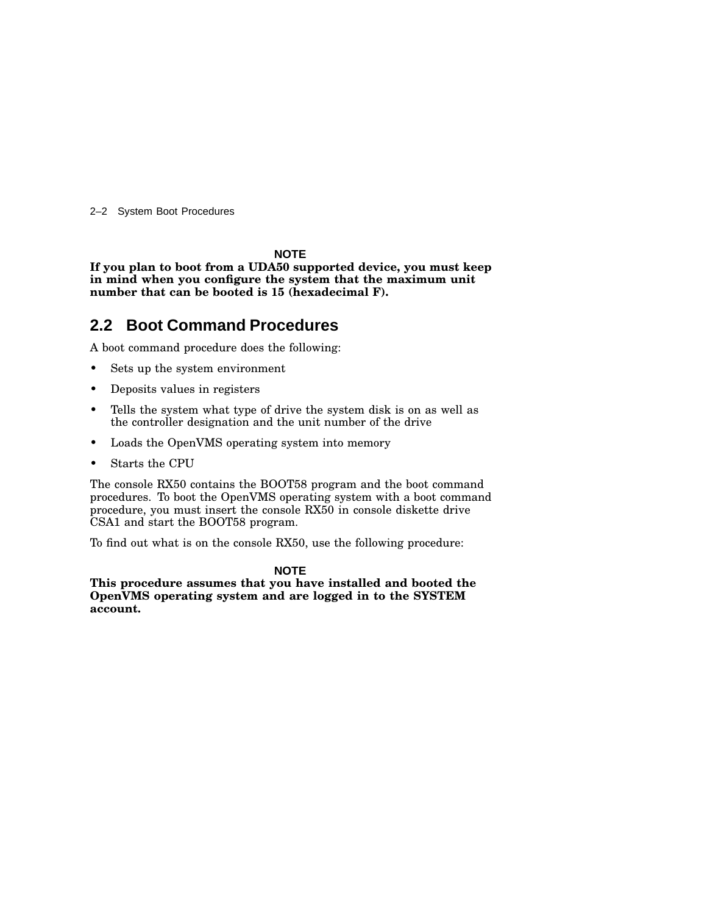2–2 System Boot Procedures

#### **NOTE**

**If you plan to boot from a UDA50 supported device, you must keep in mind when you configure the system that the maximum unit number that can be booted is 15 (hexadecimal F).**

### **2.2 Boot Command Procedures**

A boot command procedure does the following:

- Sets up the system environment
- Deposits values in registers
- Tells the system what type of drive the system disk is on as well as the controller designation and the unit number of the drive
- Loads the OpenVMS operating system into memory
- Starts the CPU

The console RX50 contains the BOOT58 program and the boot command procedures. To boot the OpenVMS operating system with a boot command procedure, you must insert the console RX50 in console diskette drive CSA1 and start the BOOT58 program.

To find out what is on the console RX50, use the following procedure:

#### **NOTE**

**This procedure assumes that you have installed and booted the OpenVMS operating system and are logged in to the SYSTEM account.**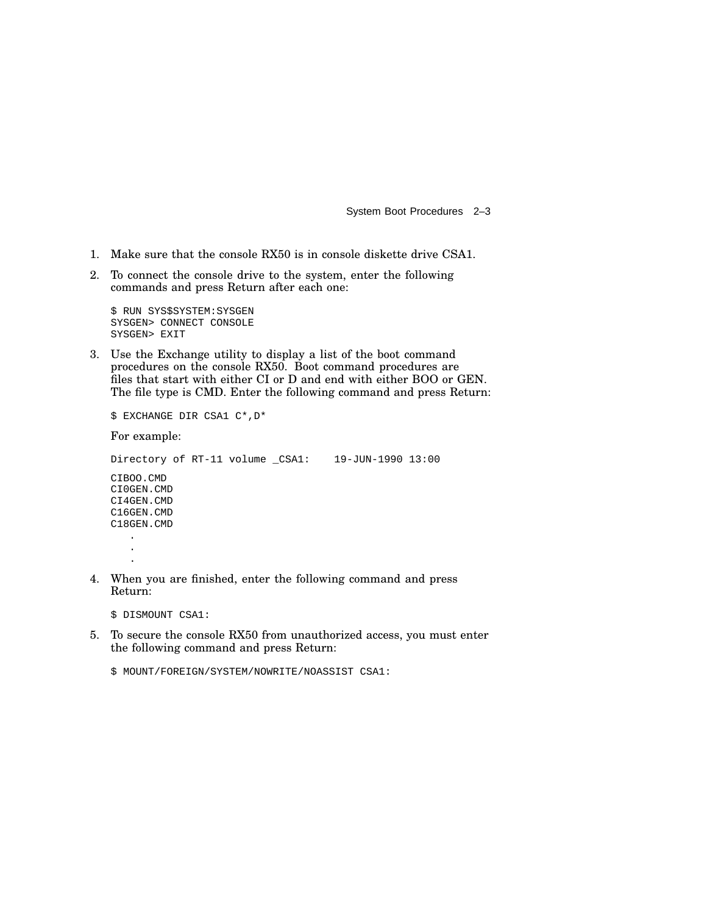- 1. Make sure that the console RX50 is in console diskette drive CSA1.
- 2. To connect the console drive to the system, enter the following commands and press Return after each one:

```
$ RUN SYS$SYSTEM:SYSGEN
SYSGEN> CONNECT CONSOLE
SYSGEN> EXIT
```
3. Use the Exchange utility to display a list of the boot command procedures on the console RX50. Boot command procedures are files that start with either CI or D and end with either BOO or GEN. The file type is CMD. Enter the following command and press Return:

\$ EXCHANGE DIR CSA1 C\*,D\*

For example:

```
Directory of RT-11 volume _CSA1: 19-JUN-1990 13:00
CIBOO.CMD
CI0GEN.CMD
CI4GEN.CMD
C16GEN.CMD
C18GEN.CMD
   .
   .
   .
```
4. When you are finished, enter the following command and press Return:

\$ DISMOUNT CSA1:

5. To secure the console RX50 from unauthorized access, you must enter the following command and press Return:

\$ MOUNT/FOREIGN/SYSTEM/NOWRITE/NOASSIST CSA1: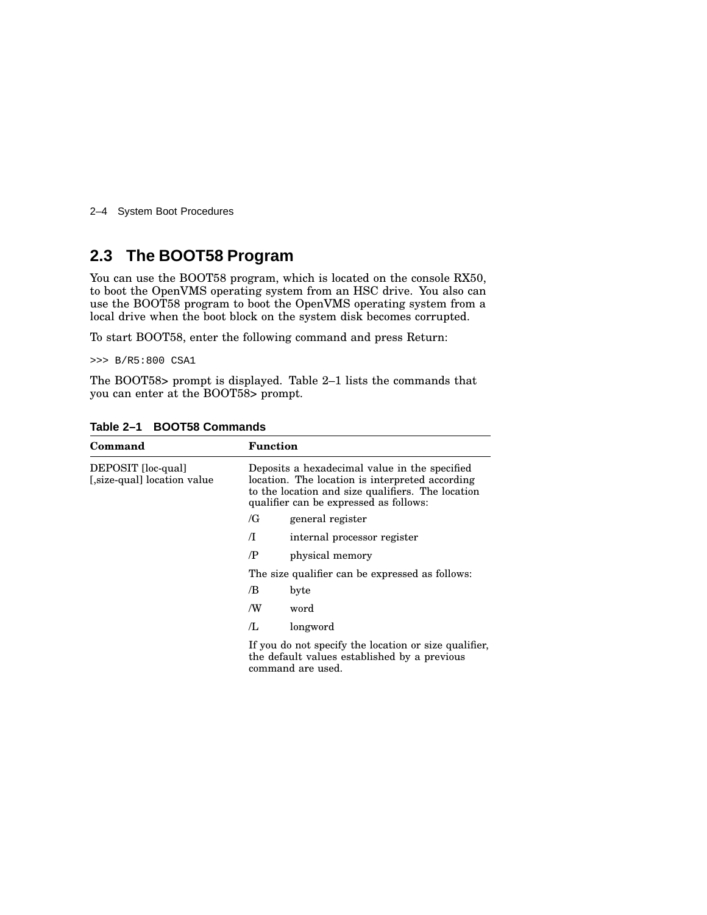2–4 System Boot Procedures

### **2.3 The BOOT58 Program**

You can use the BOOT58 program, which is located on the console RX50, to boot the OpenVMS operating system from an HSC drive. You also can use the BOOT58 program to boot the OpenVMS operating system from a local drive when the boot block on the system disk becomes corrupted.

To start BOOT58, enter the following command and press Return:

>>> B/R5:800 CSA1

The BOOT58> prompt is displayed. Table 2–1 lists the commands that you can enter at the BOOT58> prompt.

| Command                                          | <b>Function</b>                                 |                                                                                                                                                                                                 |
|--------------------------------------------------|-------------------------------------------------|-------------------------------------------------------------------------------------------------------------------------------------------------------------------------------------------------|
| DEPOSIT [loc-qual]<br>[size-qual] location value |                                                 | Deposits a hexadecimal value in the specified<br>location. The location is interpreted according<br>to the location and size qualifiers. The location<br>qualifier can be expressed as follows: |
|                                                  | /G                                              | general register                                                                                                                                                                                |
|                                                  | Л                                               | internal processor register                                                                                                                                                                     |
|                                                  | /P                                              | physical memory                                                                                                                                                                                 |
|                                                  | The size qualifier can be expressed as follows: |                                                                                                                                                                                                 |
|                                                  | /B                                              | byte                                                                                                                                                                                            |
|                                                  | /W                                              | word                                                                                                                                                                                            |
|                                                  | /L                                              | longword                                                                                                                                                                                        |
|                                                  |                                                 | If you do not specify the location or size qualifier,<br>the default values established by a previous<br>command are used.                                                                      |

**Table 2–1 BOOT58 Commands**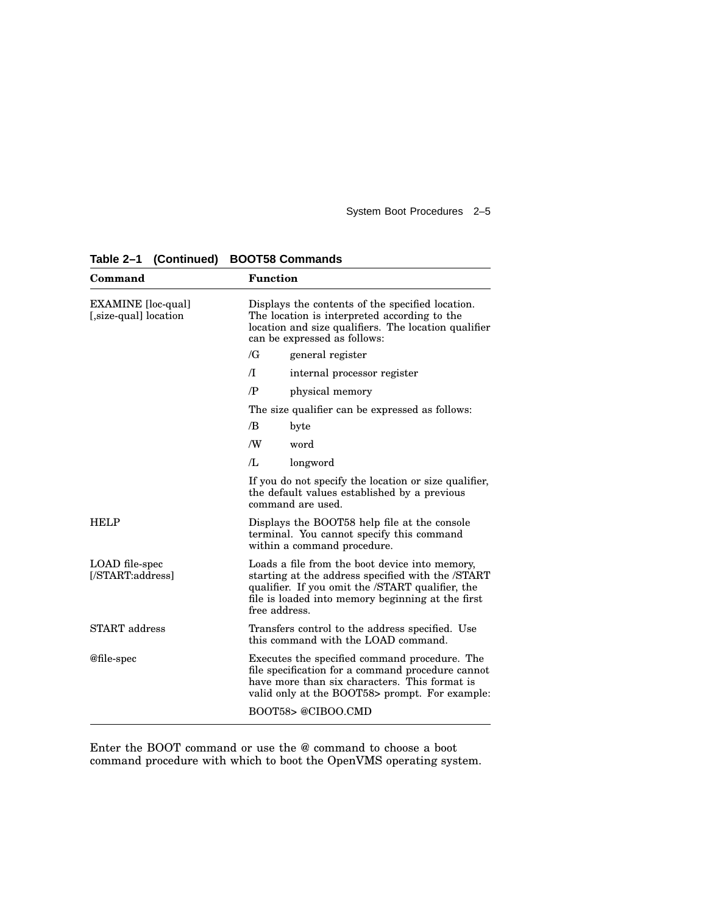| Command                                           | <b>Function</b>                                                                                                                                                                                                               |  |
|---------------------------------------------------|-------------------------------------------------------------------------------------------------------------------------------------------------------------------------------------------------------------------------------|--|
| <b>EXAMINE</b> [loc-qual]<br>[size-qual] location | Displays the contents of the specified location.<br>The location is interpreted according to the<br>location and size qualifiers. The location qualifier<br>can be expressed as follows:                                      |  |
|                                                   | $\sqrt{G}$<br>general register                                                                                                                                                                                                |  |
|                                                   | $\sqrt{}$<br>internal processor register                                                                                                                                                                                      |  |
|                                                   | $\mathbb{P}$<br>physical memory                                                                                                                                                                                               |  |
|                                                   | The size qualifier can be expressed as follows:                                                                                                                                                                               |  |
|                                                   | /B<br>byte                                                                                                                                                                                                                    |  |
|                                                   | /W<br>word                                                                                                                                                                                                                    |  |
|                                                   | /L<br>longword                                                                                                                                                                                                                |  |
|                                                   | If you do not specify the location or size qualifier,<br>the default values established by a previous<br>command are used.                                                                                                    |  |
| <b>HELP</b>                                       | Displays the BOOT58 help file at the console<br>terminal. You cannot specify this command<br>within a command procedure.                                                                                                      |  |
| LOAD file-spec<br>[/START:address]                | Loads a file from the boot device into memory,<br>starting at the address specified with the /START<br>qualifier. If you omit the /START qualifier, the<br>file is loaded into memory beginning at the first<br>free address. |  |
| <b>START</b> address                              | Transfers control to the address specified. Use<br>this command with the LOAD command.                                                                                                                                        |  |
| @file-spec                                        | Executes the specified command procedure. The<br>file specification for a command procedure cannot<br>have more than six characters. This format is<br>valid only at the BOOT58> prompt. For example:                         |  |
|                                                   | BOOT58> @CIBOO.CMD                                                                                                                                                                                                            |  |

**Table 2–1 (Continued) BOOT58 Commands**

Enter the BOOT command or use the @ command to choose a boot command procedure with which to boot the OpenVMS operating system.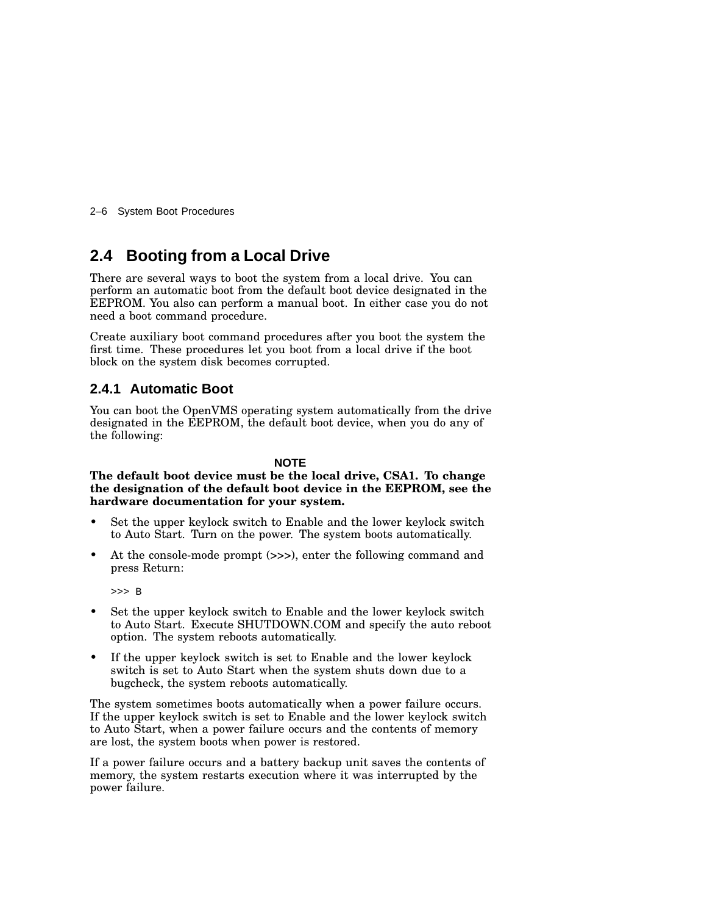2–6 System Boot Procedures

### **2.4 Booting from a Local Drive**

There are several ways to boot the system from a local drive. You can perform an automatic boot from the default boot device designated in the EEPROM. You also can perform a manual boot. In either case you do not need a boot command procedure.

Create auxiliary boot command procedures after you boot the system the first time. These procedures let you boot from a local drive if the boot block on the system disk becomes corrupted.

### **2.4.1 Automatic Boot**

You can boot the OpenVMS operating system automatically from the drive designated in the EEPROM, the default boot device, when you do any of the following:

#### **NOTE**

**The default boot device must be the local drive, CSA1. To change the designation of the default boot device in the EEPROM, see the hardware documentation for your system.**

- Set the upper keylock switch to Enable and the lower keylock switch to Auto Start. Turn on the power. The system boots automatically.
- At the console-mode prompt (>>>), enter the following command and press Return:

>>> B

- Set the upper keylock switch to Enable and the lower keylock switch to Auto Start. Execute SHUTDOWN.COM and specify the auto reboot option. The system reboots automatically.
- If the upper keylock switch is set to Enable and the lower keylock switch is set to Auto Start when the system shuts down due to a bugcheck, the system reboots automatically.

The system sometimes boots automatically when a power failure occurs. If the upper keylock switch is set to Enable and the lower keylock switch to Auto Start, when a power failure occurs and the contents of memory are lost, the system boots when power is restored.

If a power failure occurs and a battery backup unit saves the contents of memory, the system restarts execution where it was interrupted by the power failure.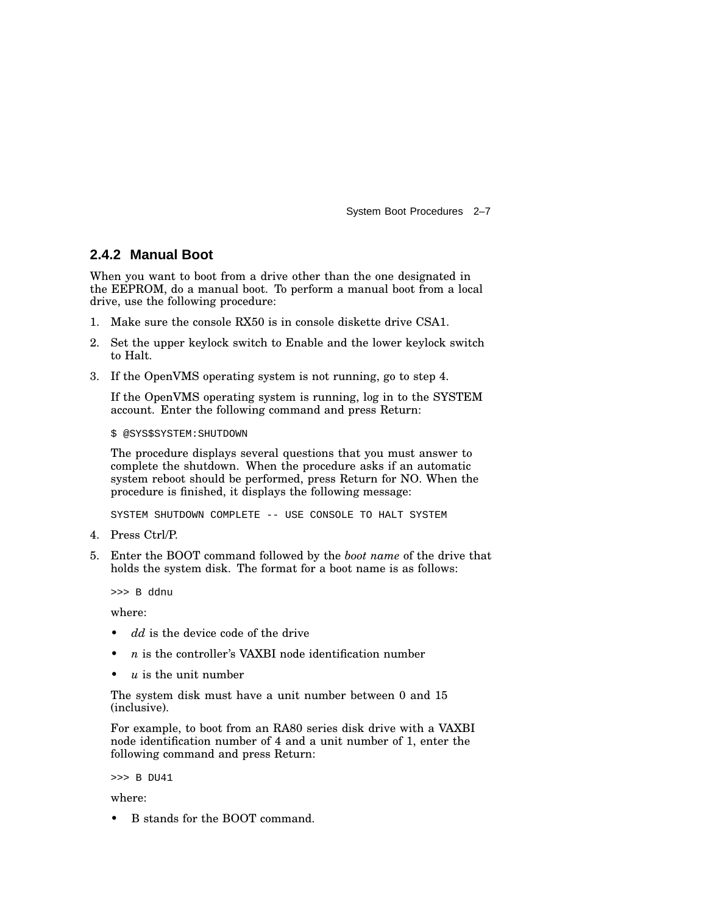### **2.4.2 Manual Boot**

When you want to boot from a drive other than the one designated in the EEPROM, do a manual boot. To perform a manual boot from a local drive, use the following procedure:

- 1. Make sure the console RX50 is in console diskette drive CSA1.
- 2. Set the upper keylock switch to Enable and the lower keylock switch to Halt.
- 3. If the OpenVMS operating system is not running, go to step 4.

If the OpenVMS operating system is running, log in to the SYSTEM account. Enter the following command and press Return:

#### \$ @SYS\$SYSTEM:SHUTDOWN

The procedure displays several questions that you must answer to complete the shutdown. When the procedure asks if an automatic system reboot should be performed, press Return for NO. When the procedure is finished, it displays the following message:

SYSTEM SHUTDOWN COMPLETE -- USE CONSOLE TO HALT SYSTEM

- 4. Press Ctrl/P.
- 5. Enter the BOOT command followed by the *boot name* of the drive that holds the system disk. The format for a boot name is as follows:

>>> B ddnu

where:

- dd is the device code of the drive
- *n* is the controller's VAXBI node identification number
- $u$  is the unit number

The system disk must have a unit number between 0 and 15 (inclusive).

For example, to boot from an RA80 series disk drive with a VAXBI node identification number of 4 and a unit number of 1, enter the following command and press Return:

>>> B DU41

where:

• B stands for the BOOT command.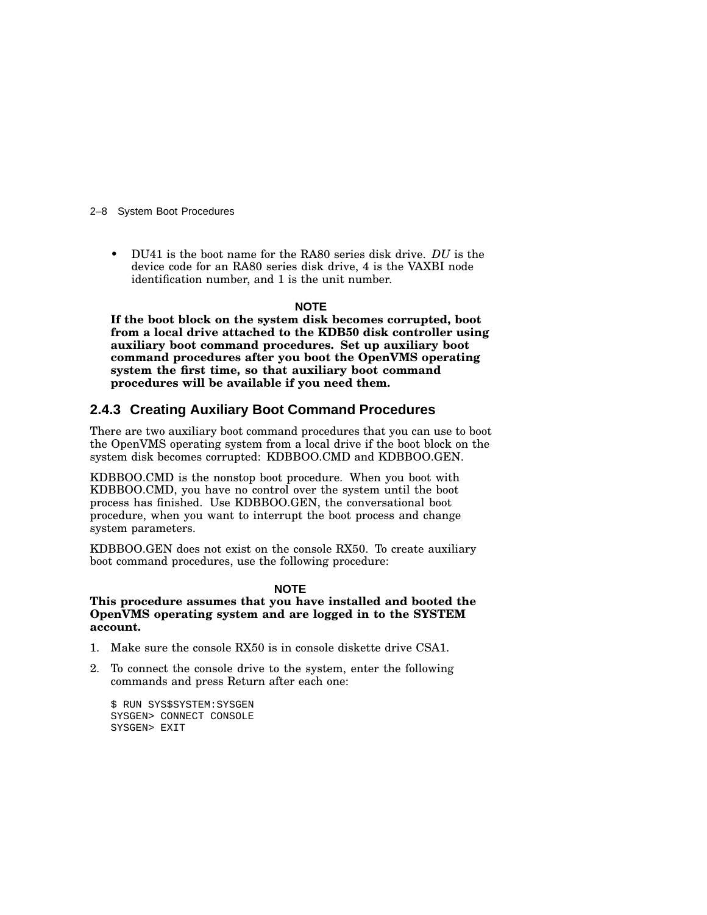2–8 System Boot Procedures

• DU41 is the boot name for the RA80 series disk drive. *DU* is the device code for an RA80 series disk drive, 4 is the VAXBI node identification number, and 1 is the unit number.

#### **NOTE**

**If the boot block on the system disk becomes corrupted, boot from a local drive attached to the KDB50 disk controller using auxiliary boot command procedures. Set up auxiliary boot command procedures after you boot the OpenVMS operating system the first time, so that auxiliary boot command procedures will be available if you need them.**

### **2.4.3 Creating Auxiliary Boot Command Procedures**

There are two auxiliary boot command procedures that you can use to boot the OpenVMS operating system from a local drive if the boot block on the system disk becomes corrupted: KDBBOO.CMD and KDBBOO.GEN.

KDBBOO.CMD is the nonstop boot procedure. When you boot with KDBBOO.CMD, you have no control over the system until the boot process has finished. Use KDBBOO.GEN, the conversational boot procedure, when you want to interrupt the boot process and change system parameters.

KDBBOO.GEN does not exist on the console RX50. To create auxiliary boot command procedures, use the following procedure:

#### **NOTE**

**This procedure assumes that you have installed and booted the OpenVMS operating system and are logged in to the SYSTEM account.**

- 1. Make sure the console RX50 is in console diskette drive CSA1.
- 2. To connect the console drive to the system, enter the following commands and press Return after each one:

```
$ RUN SYS$SYSTEM:SYSGEN
SYSGEN> CONNECT CONSOLE
SYSGEN> EXIT
```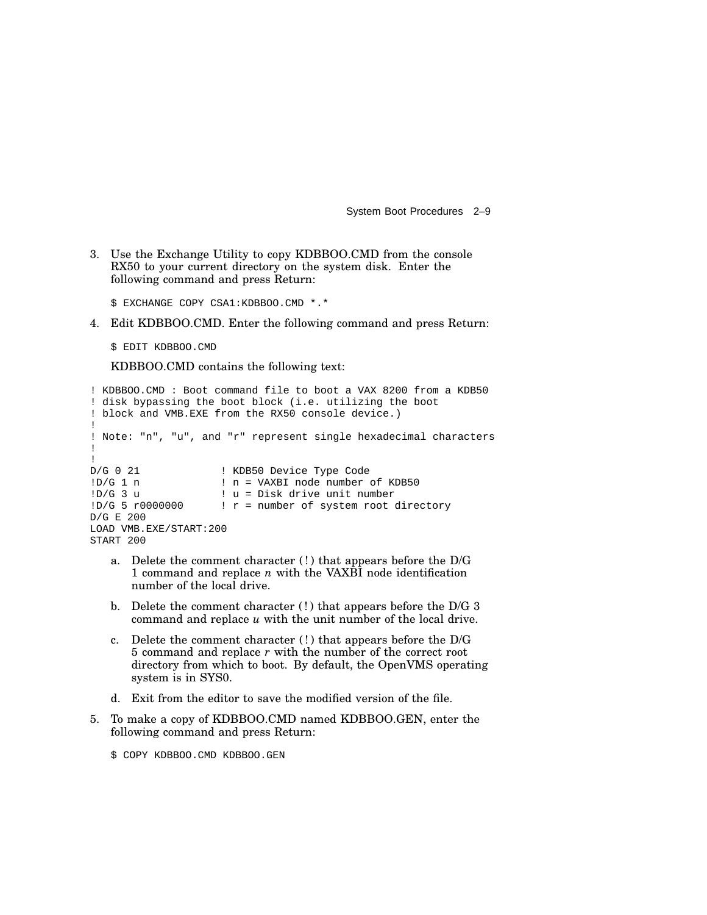3. Use the Exchange Utility to copy KDBBOO.CMD from the console RX50 to your current directory on the system disk. Enter the following command and press Return:

\$ EXCHANGE COPY CSA1:KDBBOO.CMD \*.\*

4. Edit KDBBOO.CMD. Enter the following command and press Return:

\$ EDIT KDBBOO.CMD

KDBBOO.CMD contains the following text:

```
! KDBBOO.CMD : Boot command file to boot a VAX 8200 from a KDB50
! disk bypassing the boot block (i.e. utilizing the boot
! block and VMB.EXE from the RX50 console device.)
!
! Note: "n", "u", and "r" represent single hexadecimal characters
!
!<br>D/G 0 21
D/G 0 21 <br>
1 : KDB50 Device Type Code<br>
1 : In = VAXBI node number<br>
1 : In = VAXBI node number
1D/G 1 n<br>1D/G 3 u<br>1 u = Disk drive unit number! u = Disk drive unit number
1D/G 5 r0000000 ! r = number of system root directory
D/G E 200
LOAD VMB.EXE/START:200
START 200
```
- a. Delete the comment character (! ) that appears before the D/G 1 command and replace *n* with the VAXBI node identification number of the local drive.
- b. Delete the comment character  $(!)$  that appears before the D/G 3 command and replace *u* with the unit number of the local drive.
- c. Delete the comment character  $(!)$  that appears before the D/G 5 command and replace *r* with the number of the correct root directory from which to boot. By default, the OpenVMS operating system is in SYS0.
- d. Exit from the editor to save the modified version of the file.
- 5. To make a copy of KDBBOO.CMD named KDBBOO.GEN, enter the following command and press Return:

\$ COPY KDBBOO.CMD KDBBOO.GEN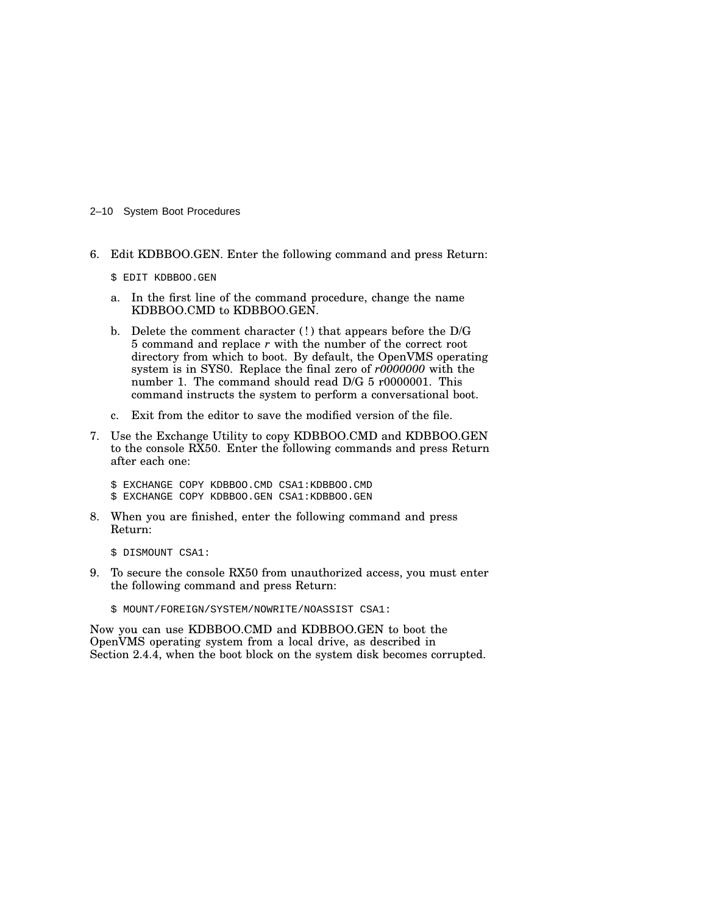#### 2–10 System Boot Procedures

- 6. Edit KDBBOO.GEN. Enter the following command and press Return:
	- \$ EDIT KDBBOO.GEN
	- a. In the first line of the command procedure, change the name KDBBOO.CMD to KDBBOO.GEN.
	- b. Delete the comment character (!) that appears before the D/G 5 command and replace *r* with the number of the correct root directory from which to boot. By default, the OpenVMS operating system is in SYS0. Replace the final zero of *r0000000* with the number 1. The command should read D/G 5 r0000001. This command instructs the system to perform a conversational boot.
	- c. Exit from the editor to save the modified version of the file.
- 7. Use the Exchange Utility to copy KDBBOO.CMD and KDBBOO.GEN to the console RX50. Enter the following commands and press Return after each one:
	- \$ EXCHANGE COPY KDBBOO.CMD CSA1:KDBBOO.CMD \$ EXCHANGE COPY KDBBOO.GEN CSA1:KDBBOO.GEN
- 8. When you are finished, enter the following command and press Return:
	- \$ DISMOUNT CSA1:
- 9. To secure the console RX50 from unauthorized access, you must enter the following command and press Return:
	- \$ MOUNT/FOREIGN/SYSTEM/NOWRITE/NOASSIST CSA1:

Now you can use KDBBOO.CMD and KDBBOO.GEN to boot the OpenVMS operating system from a local drive, as described in Section 2.4.4, when the boot block on the system disk becomes corrupted.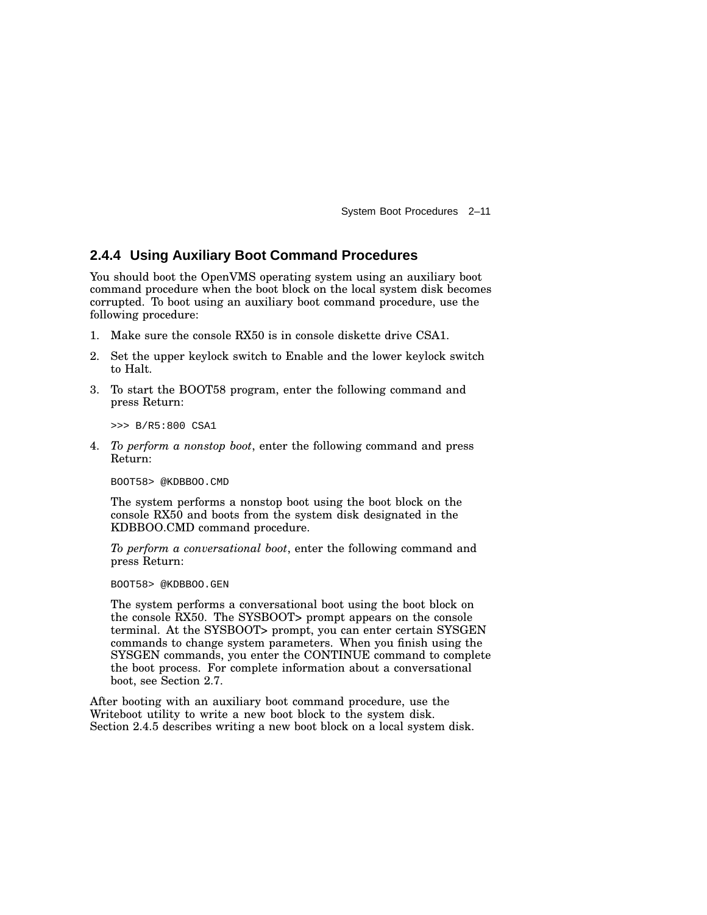### **2.4.4 Using Auxiliary Boot Command Procedures**

You should boot the OpenVMS operating system using an auxiliary boot command procedure when the boot block on the local system disk becomes corrupted. To boot using an auxiliary boot command procedure, use the following procedure:

- 1. Make sure the console RX50 is in console diskette drive CSA1.
- 2. Set the upper keylock switch to Enable and the lower keylock switch to Halt.
- 3. To start the BOOT58 program, enter the following command and press Return:

>>> B/R5:800 CSA1

4. *To perform a nonstop boot*, enter the following command and press Return:

BOOT58> @KDBBOO.CMD

The system performs a nonstop boot using the boot block on the console RX50 and boots from the system disk designated in the KDBBOO.CMD command procedure.

*To perform a conversational boot*, enter the following command and press Return:

BOOT58> @KDBBOO.GEN

The system performs a conversational boot using the boot block on the console RX50. The SYSBOOT> prompt appears on the console terminal. At the SYSBOOT> prompt, you can enter certain SYSGEN commands to change system parameters. When you finish using the SYSGEN commands, you enter the CONTINUE command to complete the boot process. For complete information about a conversational boot, see Section 2.7.

After booting with an auxiliary boot command procedure, use the Writeboot utility to write a new boot block to the system disk. Section 2.4.5 describes writing a new boot block on a local system disk.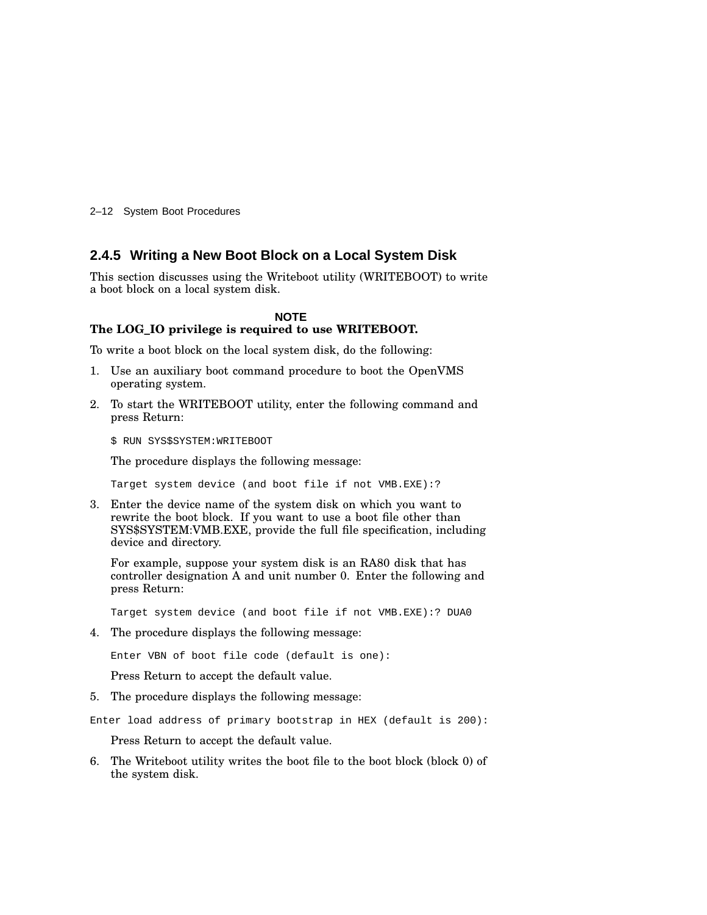2–12 System Boot Procedures

#### **2.4.5 Writing a New Boot Block on a Local System Disk**

This section discusses using the Writeboot utility (WRITEBOOT) to write a boot block on a local system disk.

#### **NOTE**

### **The LOG\_IO privilege is required to use WRITEBOOT.**

To write a boot block on the local system disk, do the following:

- 1. Use an auxiliary boot command procedure to boot the OpenVMS operating system.
- 2. To start the WRITEBOOT utility, enter the following command and press Return:

\$ RUN SYS\$SYSTEM:WRITEBOOT

The procedure displays the following message:

Target system device (and boot file if not VMB.EXE):?

3. Enter the device name of the system disk on which you want to rewrite the boot block. If you want to use a boot file other than SYS\$SYSTEM:VMB.EXE, provide the full file specification, including device and directory.

For example, suppose your system disk is an RA80 disk that has controller designation A and unit number 0. Enter the following and press Return:

Target system device (and boot file if not VMB.EXE):? DUA0

4. The procedure displays the following message:

Enter VBN of boot file code (default is one):

Press Return to accept the default value.

5. The procedure displays the following message:

Enter load address of primary bootstrap in HEX (default is 200):

Press Return to accept the default value.

6. The Writeboot utility writes the boot file to the boot block (block 0) of the system disk.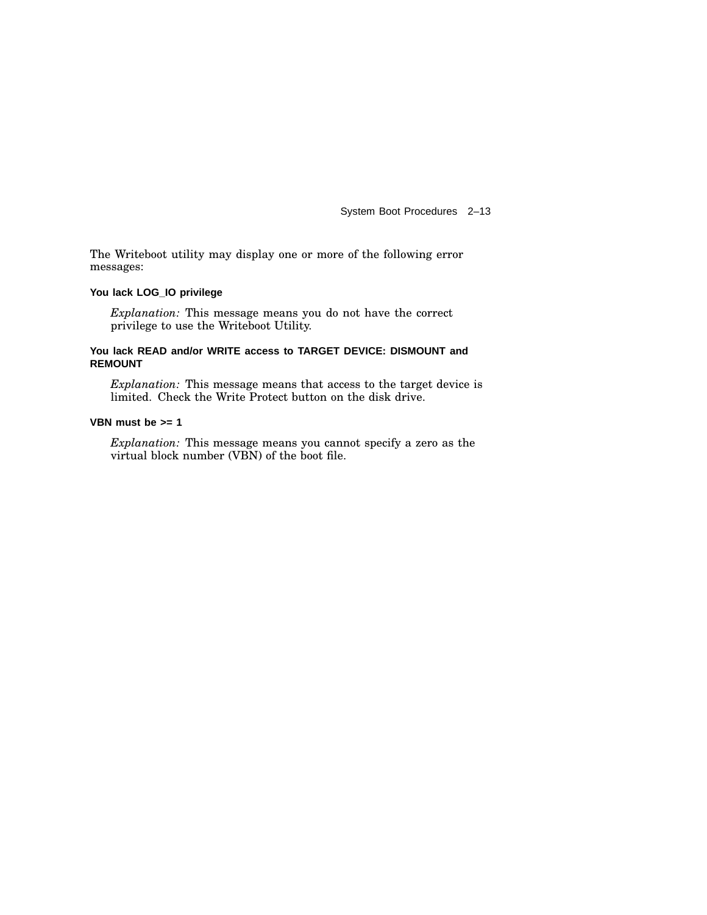The Writeboot utility may display one or more of the following error messages:

#### **You lack LOG\_IO privilege**

*Explanation:* This message means you do not have the correct privilege to use the Writeboot Utility.

#### **You lack READ and/or WRITE access to TARGET DEVICE: DISMOUNT and REMOUNT**

*Explanation:* This message means that access to the target device is limited. Check the Write Protect button on the disk drive.

#### **VBN must be >= 1**

*Explanation:* This message means you cannot specify a zero as the virtual block number (VBN) of the boot file.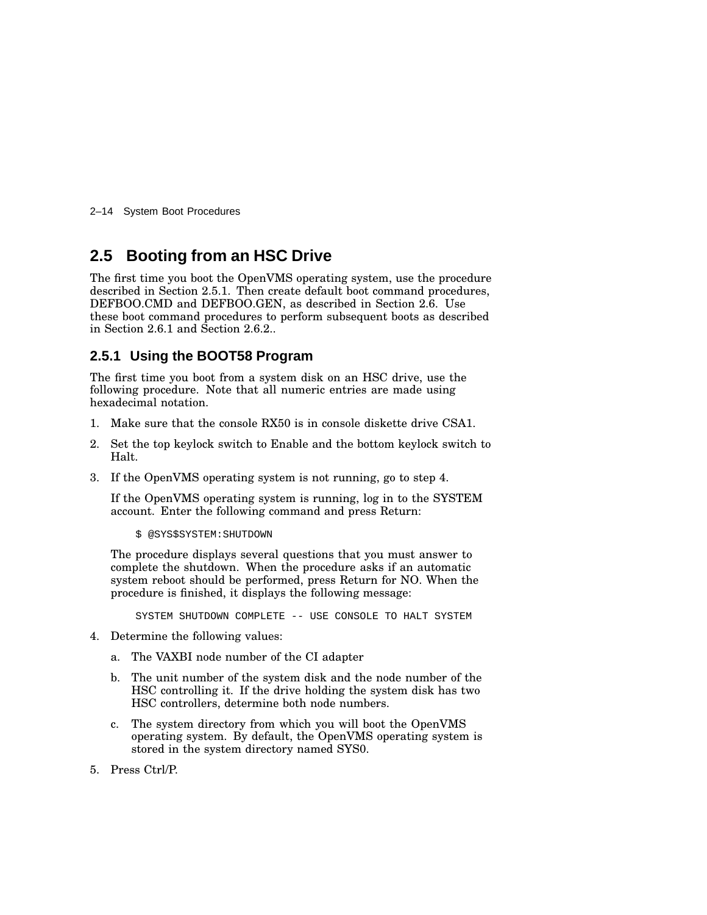2–14 System Boot Procedures

### **2.5 Booting from an HSC Drive**

The first time you boot the OpenVMS operating system, use the procedure described in Section 2.5.1. Then create default boot command procedures, DEFBOO.CMD and DEFBOO.GEN, as described in Section 2.6. Use these boot command procedures to perform subsequent boots as described in Section 2.6.1 and Section 2.6.2..

### **2.5.1 Using the BOOT58 Program**

The first time you boot from a system disk on an HSC drive, use the following procedure. Note that all numeric entries are made using hexadecimal notation.

- 1. Make sure that the console RX50 is in console diskette drive CSA1.
- 2. Set the top keylock switch to Enable and the bottom keylock switch to Halt.
- 3. If the OpenVMS operating system is not running, go to step 4.

If the OpenVMS operating system is running, log in to the SYSTEM account. Enter the following command and press Return:

\$ @SYS\$SYSTEM:SHUTDOWN

The procedure displays several questions that you must answer to complete the shutdown. When the procedure asks if an automatic system reboot should be performed, press Return for NO. When the procedure is finished, it displays the following message:

SYSTEM SHUTDOWN COMPLETE -- USE CONSOLE TO HALT SYSTEM

- 4. Determine the following values:
	- a. The VAXBI node number of the CI adapter
	- b. The unit number of the system disk and the node number of the HSC controlling it. If the drive holding the system disk has two HSC controllers, determine both node numbers.
	- c. The system directory from which you will boot the OpenVMS operating system. By default, the OpenVMS operating system is stored in the system directory named SYS0.
- 5. Press Ctrl/P.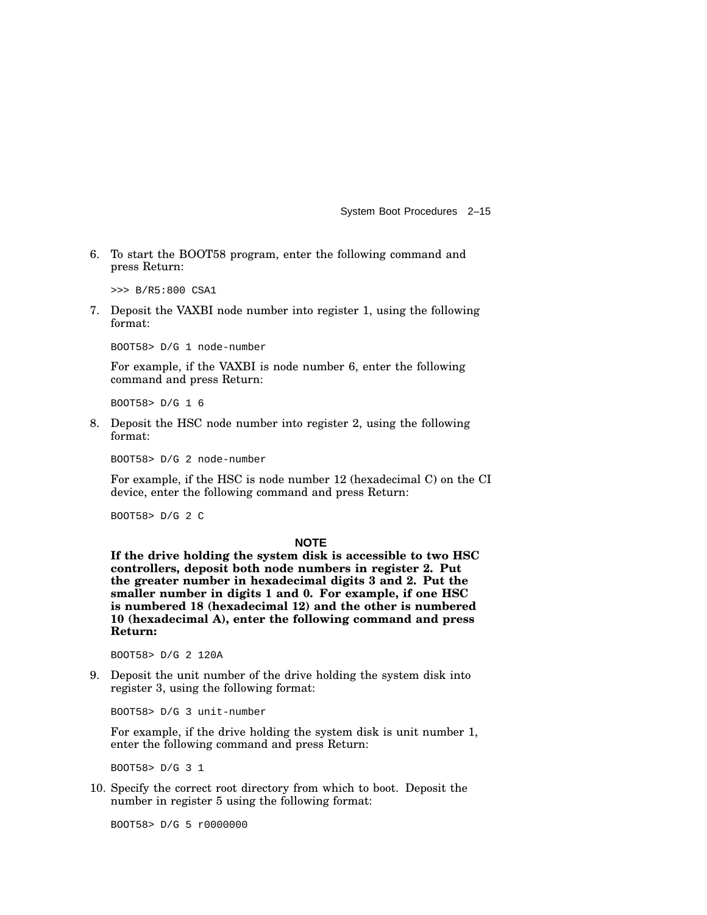6. To start the BOOT58 program, enter the following command and press Return:

>>> B/R5:800 CSA1

7. Deposit the VAXBI node number into register 1, using the following format:

BOOT58> D/G 1 node-number

For example, if the VAXBI is node number 6, enter the following command and press Return:

BOOT58> D/G 1 6

8. Deposit the HSC node number into register 2, using the following format:

BOOT58> D/G 2 node-number

For example, if the HSC is node number 12 (hexadecimal C) on the CI device, enter the following command and press Return:

BOOT58> D/G 2 C

#### **NOTE**

**If the drive holding the system disk is accessible to two HSC controllers, deposit both node numbers in register 2. Put the greater number in hexadecimal digits 3 and 2. Put the smaller number in digits 1 and 0. For example, if one HSC is numbered 18 (hexadecimal 12) and the other is numbered 10 (hexadecimal A), enter the following command and press Return:**

BOOT58> D/G 2 120A

9. Deposit the unit number of the drive holding the system disk into register 3, using the following format:

BOOT58> D/G 3 unit-number

For example, if the drive holding the system disk is unit number 1, enter the following command and press Return:

BOOT58> D/G 3 1

10. Specify the correct root directory from which to boot. Deposit the number in register 5 using the following format:

BOOT58> D/G 5 r0000000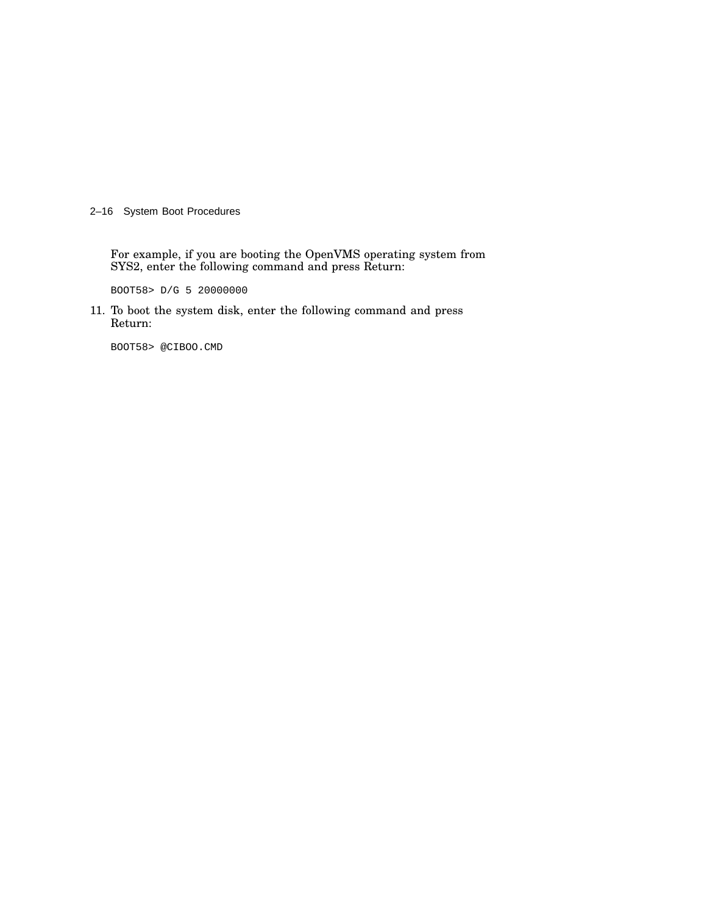2–16 System Boot Procedures

For example, if you are booting the OpenVMS operating system from SYS2, enter the following command and press Return:

BOOT58> D/G 5 20000000

11. To boot the system disk, enter the following command and press Return:

BOOT58> @CIBOO.CMD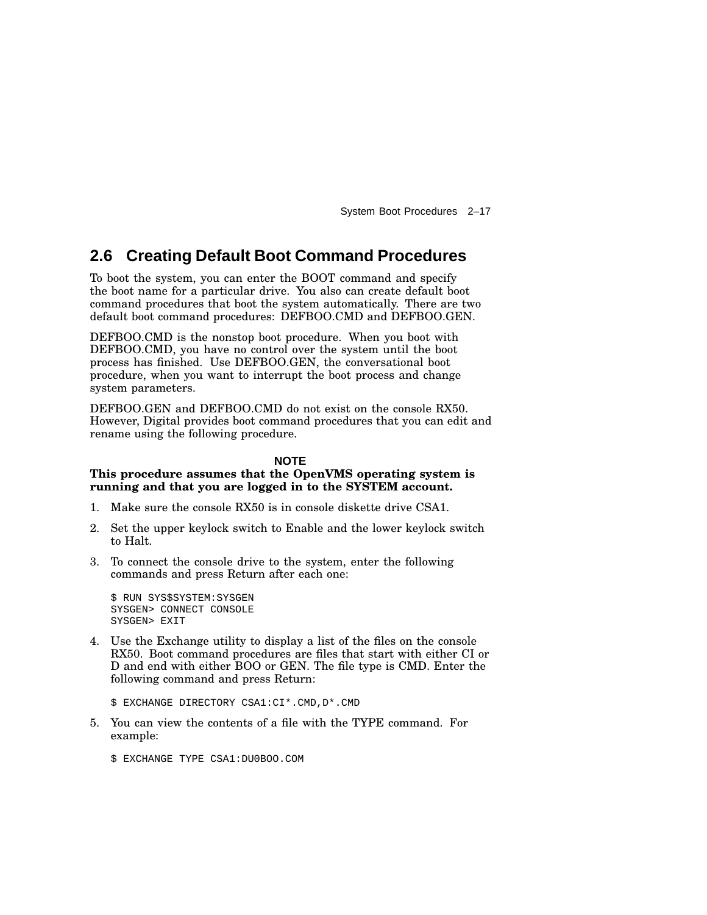### **2.6 Creating Default Boot Command Procedures**

To boot the system, you can enter the BOOT command and specify the boot name for a particular drive. You also can create default boot command procedures that boot the system automatically. There are two default boot command procedures: DEFBOO.CMD and DEFBOO.GEN.

DEFBOO.CMD is the nonstop boot procedure. When you boot with DEFBOO.CMD, you have no control over the system until the boot process has finished. Use DEFBOO.GEN, the conversational boot procedure, when you want to interrupt the boot process and change system parameters.

DEFBOO.GEN and DEFBOO.CMD do not exist on the console RX50. However, Digital provides boot command procedures that you can edit and rename using the following procedure.

#### **NOTE**

#### **This procedure assumes that the OpenVMS operating system is running and that you are logged in to the SYSTEM account.**

- 1. Make sure the console RX50 is in console diskette drive CSA1.
- 2. Set the upper keylock switch to Enable and the lower keylock switch to Halt.
- 3. To connect the console drive to the system, enter the following commands and press Return after each one:

```
$ RUN SYS$SYSTEM:SYSGEN
SYSGEN> CONNECT CONSOLE
SYSGEN> EXIT
```
4. Use the Exchange utility to display a list of the files on the console RX50. Boot command procedures are files that start with either CI or D and end with either BOO or GEN. The file type is CMD. Enter the following command and press Return:

\$ EXCHANGE DIRECTORY CSA1:CI\*.CMD,D\*.CMD

- 5. You can view the contents of a file with the TYPE command. For example:
	- \$ EXCHANGE TYPE CSA1:DU0BOO.COM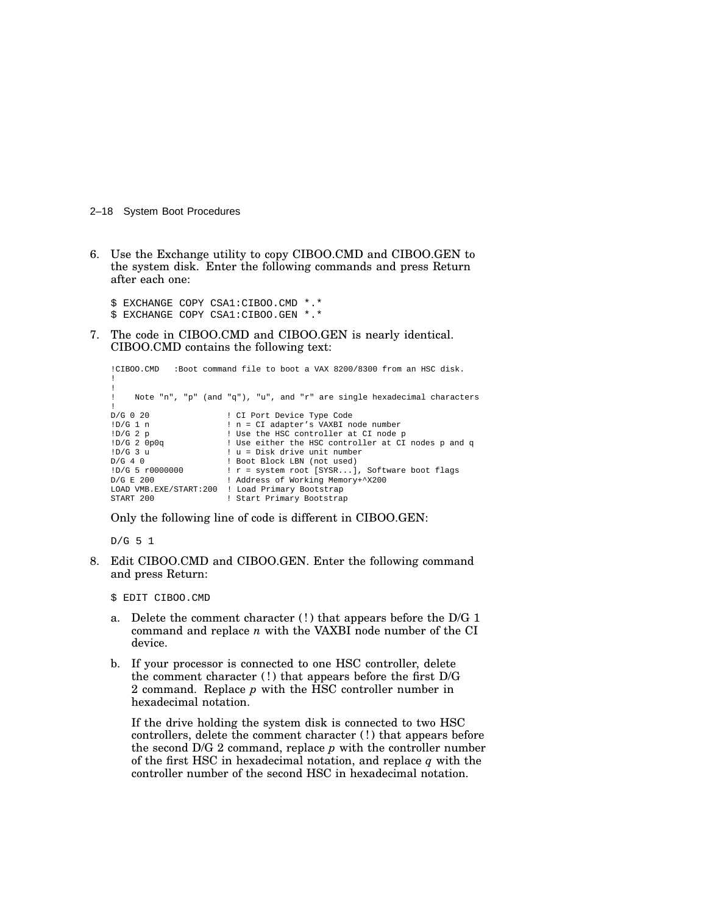2–18 System Boot Procedures

6. Use the Exchange utility to copy CIBOO.CMD and CIBOO.GEN to the system disk. Enter the following commands and press Return after each one:

\$ EXCHANGE COPY CSA1:CIBOO.CMD \*.\* \$ EXCHANGE COPY CSA1:CIBOO.GEN \*.\*

7. The code in CIBOO.CMD and CIBOO.GEN is nearly identical. CIBOO.CMD contains the following text:

```
!CIBOO.CMD :Boot command file to boot a VAX 8200/8300 from an HSC disk.
!
!
! Note "n", "p" (and "q"), "u", and "r" are single hexadecimal characters
D/G 0 20
D/G 0 20 <br>
\lfloor D/G \rfloor 1 n = CI adapter's VAXBI n
!D/G 1 n ! n = CI adapter's VAXBI node number
!D/G 2 p ! Use the HSC controller at CI node p
!D/G 2 0p0q ! Use either the HSC controller at CI nodes p and q
!D/G 3 u ! u = Disk drive unit number
D/G 4 0 ! Boot Block LBN (not used)
!D/G 5 r0000000 ! r = system root [SYSR...], Software boot flags
                         ! Address of Working Memory+^X200
LOAD VMB.EXE/START:200 ! Load Primary Bootstrap
                         : Start Primary Bootstrap
```
Only the following line of code is different in CIBOO.GEN:

D/G 5 1

8. Edit CIBOO.CMD and CIBOO.GEN. Enter the following command and press Return:

\$ EDIT CIBOO.CMD

- a. Delete the comment character (!) that appears before the D/G 1 command and replace *n* with the VAXBI node number of the CI device.
- b. If your processor is connected to one HSC controller, delete the comment character (!) that appears before the first D/G 2 command. Replace *p* with the HSC controller number in hexadecimal notation.

If the drive holding the system disk is connected to two HSC controllers, delete the comment character (!) that appears before the second D/G 2 command, replace *p* with the controller number of the first HSC in hexadecimal notation, and replace *q* with the controller number of the second HSC in hexadecimal notation.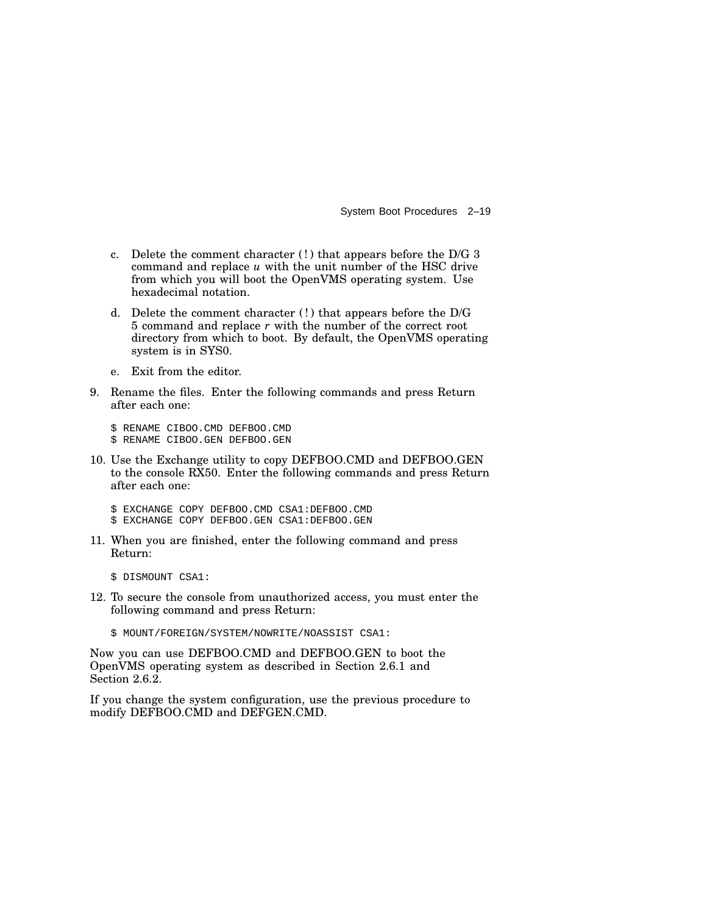- c. Delete the comment character (! ) that appears before the D/G 3 command and replace *u* with the unit number of the HSC drive from which you will boot the OpenVMS operating system. Use hexadecimal notation.
- d. Delete the comment character (! ) that appears before the D/G 5 command and replace *r* with the number of the correct root directory from which to boot. By default, the OpenVMS operating system is in SYS0.
- e. Exit from the editor.
- 9. Rename the files. Enter the following commands and press Return after each one:

\$ RENAME CIBOO.CMD DEFBOO.CMD \$ RENAME CIBOO.GEN DEFBOO.GEN

10. Use the Exchange utility to copy DEFBOO.CMD and DEFBOO.GEN to the console RX50. Enter the following commands and press Return after each one:

\$ EXCHANGE COPY DEFBOO.CMD CSA1:DEFBOO.CMD \$ EXCHANGE COPY DEFBOO.GEN CSA1:DEFBOO.GEN

11. When you are finished, enter the following command and press Return:

\$ DISMOUNT CSA1:

- 12. To secure the console from unauthorized access, you must enter the following command and press Return:
	- \$ MOUNT/FOREIGN/SYSTEM/NOWRITE/NOASSIST CSA1:

Now you can use DEFBOO.CMD and DEFBOO.GEN to boot the OpenVMS operating system as described in Section 2.6.1 and Section 2.6.2.

If you change the system configuration, use the previous procedure to modify DEFBOO.CMD and DEFGEN.CMD.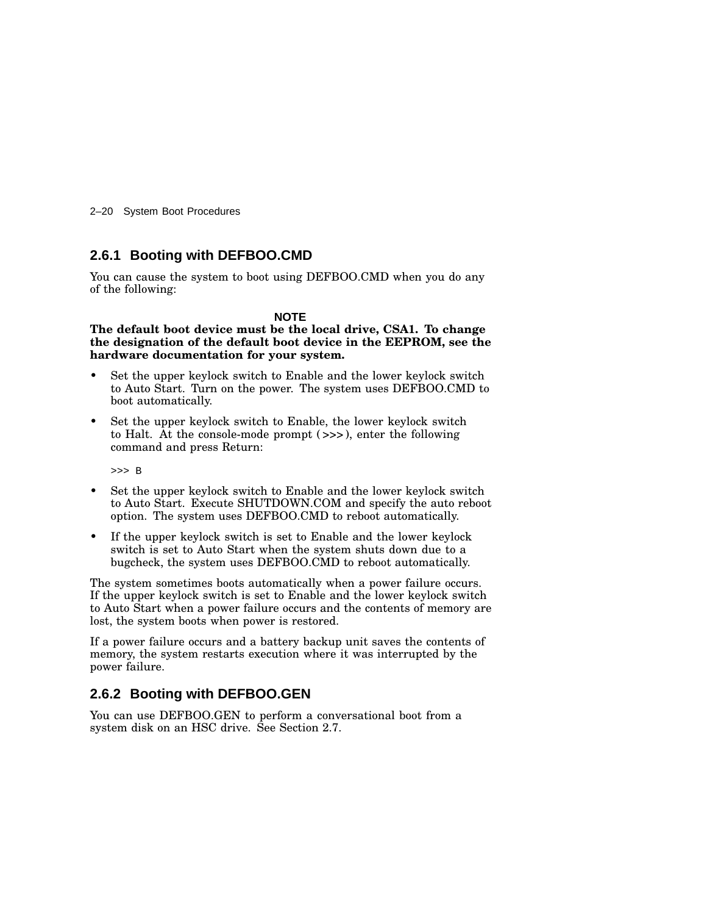2–20 System Boot Procedures

### **2.6.1 Booting with DEFBOO.CMD**

You can cause the system to boot using DEFBOO.CMD when you do any of the following:

#### **NOTE**

**The default boot device must be the local drive, CSA1. To change the designation of the default boot device in the EEPROM, see the hardware documentation for your system.**

- Set the upper keylock switch to Enable and the lower keylock switch to Auto Start. Turn on the power. The system uses DEFBOO.CMD to boot automatically.
- Set the upper keylock switch to Enable, the lower keylock switch to Halt. At the console-mode prompt ( >>> ), enter the following command and press Return:

>>> B

- Set the upper keylock switch to Enable and the lower keylock switch to Auto Start. Execute SHUTDOWN.COM and specify the auto reboot option. The system uses DEFBOO.CMD to reboot automatically.
- If the upper keylock switch is set to Enable and the lower keylock switch is set to Auto Start when the system shuts down due to a bugcheck, the system uses DEFBOO.CMD to reboot automatically.

The system sometimes boots automatically when a power failure occurs. If the upper keylock switch is set to Enable and the lower keylock switch to Auto Start when a power failure occurs and the contents of memory are lost, the system boots when power is restored.

If a power failure occurs and a battery backup unit saves the contents of memory, the system restarts execution where it was interrupted by the power failure.

### **2.6.2 Booting with DEFBOO.GEN**

You can use DEFBOO.GEN to perform a conversational boot from a system disk on an HSC drive. See Section 2.7.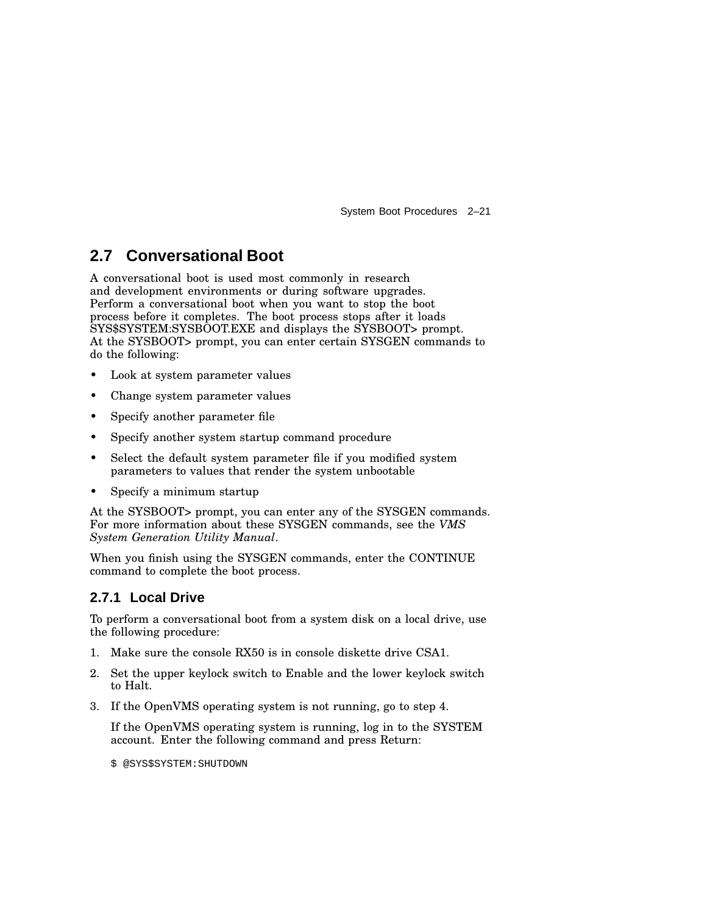### **2.7 Conversational Boot**

A conversational boot is used most commonly in research and development environments or during software upgrades. Perform a conversational boot when you want to stop the boot process before it completes. The boot process stops after it loads SYS\$SYSTEM:SYSBOOT.EXE and displays the SYSBOOT> prompt. At the SYSBOOT> prompt, you can enter certain SYSGEN commands to do the following:

- Look at system parameter values
- Change system parameter values
- Specify another parameter file
- Specify another system startup command procedure
- Select the default system parameter file if you modified system parameters to values that render the system unbootable
- Specify a minimum startup

At the SYSBOOT> prompt, you can enter any of the SYSGEN commands. For more information about these SYSGEN commands, see the *VMS System Generation Utility Manual*.

When you finish using the SYSGEN commands, enter the CONTINUE command to complete the boot process.

### **2.7.1 Local Drive**

To perform a conversational boot from a system disk on a local drive, use the following procedure:

- 1. Make sure the console RX50 is in console diskette drive CSA1.
- 2. Set the upper keylock switch to Enable and the lower keylock switch to Halt.
- 3. If the OpenVMS operating system is not running, go to step 4.

If the OpenVMS operating system is running, log in to the SYSTEM account. Enter the following command and press Return:

\$ @SYS\$SYSTEM:SHUTDOWN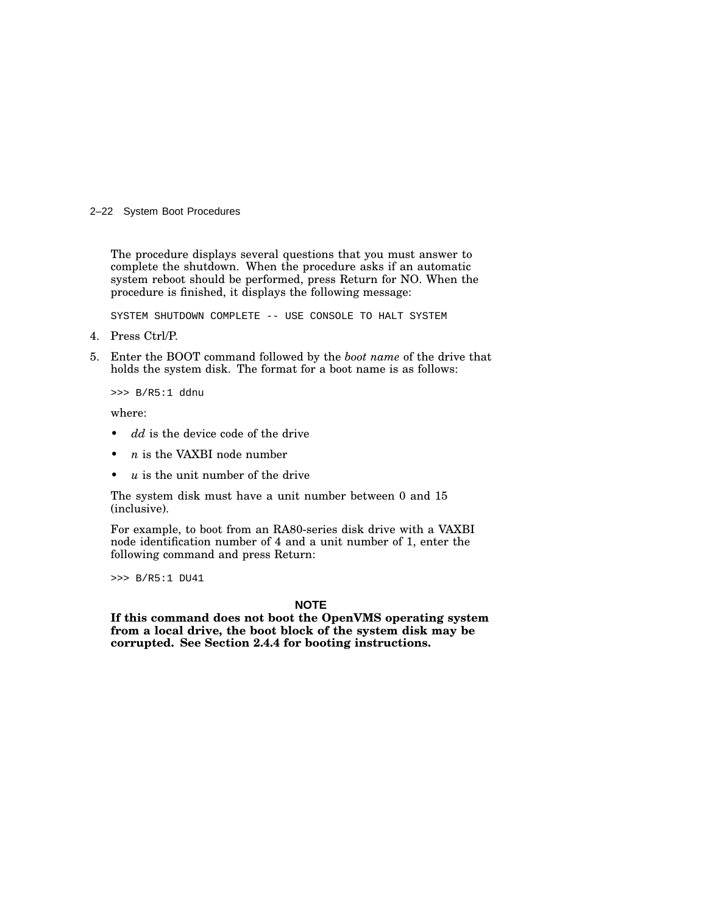#### 2–22 System Boot Procedures

The procedure displays several questions that you must answer to complete the shutdown. When the procedure asks if an automatic system reboot should be performed, press Return for NO. When the procedure is finished, it displays the following message:

SYSTEM SHUTDOWN COMPLETE -- USE CONSOLE TO HALT SYSTEM

- 4. Press Ctrl/P.
- 5. Enter the BOOT command followed by the *boot name* of the drive that holds the system disk. The format for a boot name is as follows:

>>> B/R5:1 ddnu

where:

- dd is the device code of the drive
- $n$  is the VAXBI node number
- *u* is the unit number of the drive

The system disk must have a unit number between 0 and 15 (inclusive).

For example, to boot from an RA80-series disk drive with a VAXBI node identification number of 4 and a unit number of 1, enter the following command and press Return:

>>> B/R5:1 DU41

#### **NOTE**

**If this command does not boot the OpenVMS operating system from a local drive, the boot block of the system disk may be corrupted. See Section 2.4.4 for booting instructions.**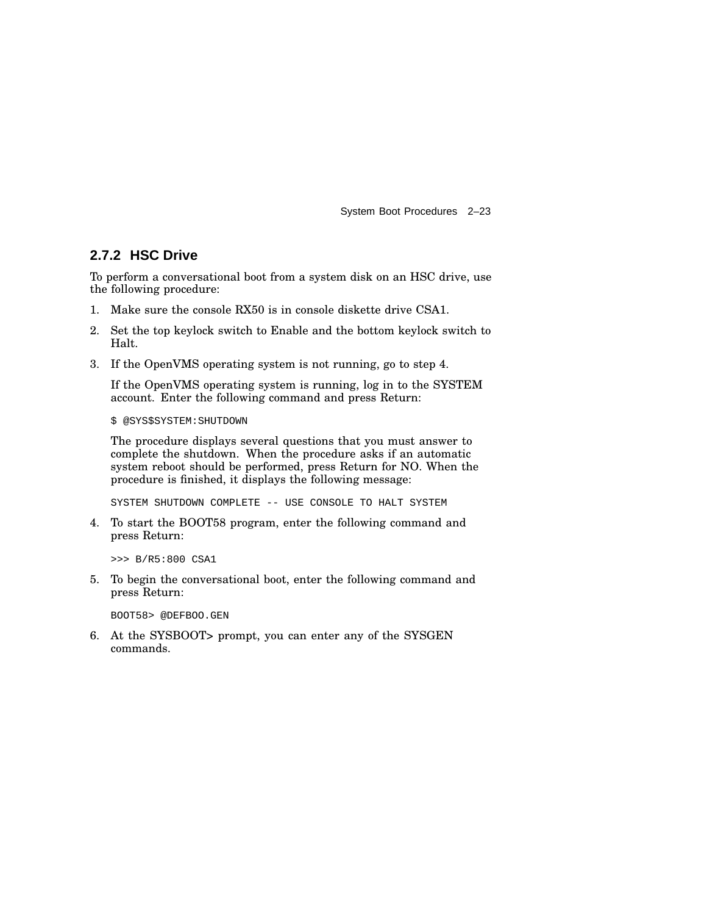### **2.7.2 HSC Drive**

To perform a conversational boot from a system disk on an HSC drive, use the following procedure:

- 1. Make sure the console RX50 is in console diskette drive CSA1.
- 2. Set the top keylock switch to Enable and the bottom keylock switch to Halt.
- 3. If the OpenVMS operating system is not running, go to step 4.

If the OpenVMS operating system is running, log in to the SYSTEM account. Enter the following command and press Return:

\$ @SYS\$SYSTEM:SHUTDOWN

The procedure displays several questions that you must answer to complete the shutdown. When the procedure asks if an automatic system reboot should be performed, press Return for NO. When the procedure is finished, it displays the following message:

SYSTEM SHUTDOWN COMPLETE -- USE CONSOLE TO HALT SYSTEM

4. To start the BOOT58 program, enter the following command and press Return:

>>> B/R5:800 CSA1

5. To begin the conversational boot, enter the following command and press Return:

BOOT58> @DEFBOO.GEN

6. At the SYSBOOT> prompt, you can enter any of the SYSGEN commands.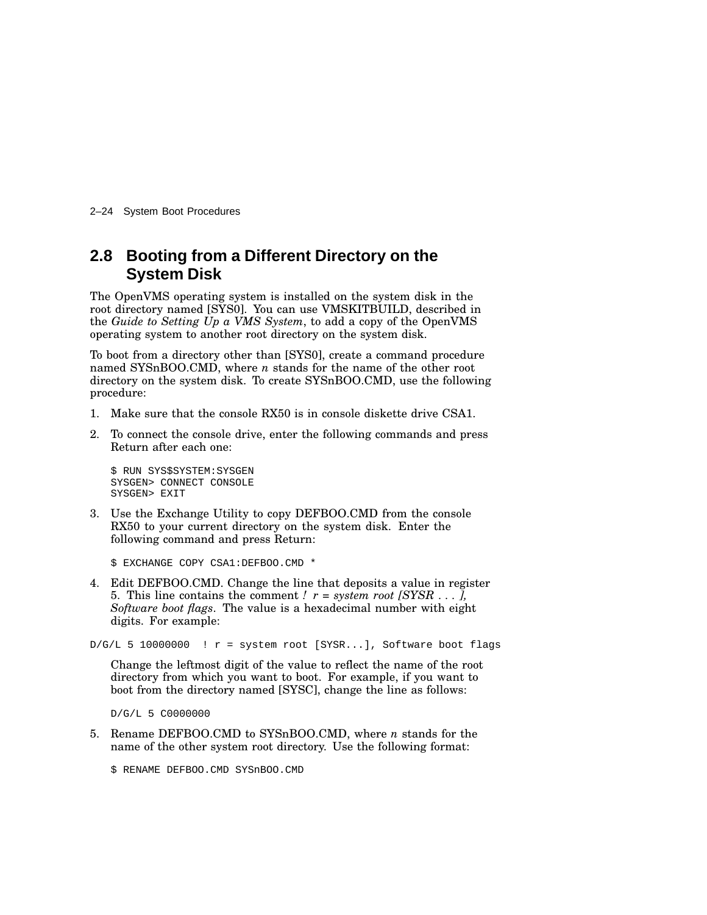2–24 System Boot Procedures

### **2.8 Booting from a Different Directory on the System Disk**

The OpenVMS operating system is installed on the system disk in the root directory named [SYS0]. You can use VMSKITBUILD, described in the *Guide to Setting Up a VMS System*, to add a copy of the OpenVMS operating system to another root directory on the system disk.

To boot from a directory other than [SYS0], create a command procedure named SYSnBOO.CMD, where *n* stands for the name of the other root directory on the system disk. To create SYSnBOO.CMD, use the following procedure:

- 1. Make sure that the console RX50 is in console diskette drive CSA1.
- 2. To connect the console drive, enter the following commands and press Return after each one:

```
$ RUN SYS$SYSTEM:SYSGEN
SYSGEN> CONNECT CONSOLE
SYSGEN> EXIT
```
3. Use the Exchange Utility to copy DEFBOO.CMD from the console RX50 to your current directory on the system disk. Enter the following command and press Return:

```
$ EXCHANGE COPY CSA1:DEFBOO.CMD *
```
4. Edit DEFBOO.CMD. Change the line that deposits a value in register 5. This line contains the comment *!*  $r = system root [SYSR ...]$ , *Software boot flags*. The value is a hexadecimal number with eight digits. For example:

 $D/G/L$  5 10000000 !  $r =$  system root [SYSR...], Software boot flags

Change the leftmost digit of the value to reflect the name of the root directory from which you want to boot. For example, if you want to boot from the directory named [SYSC], change the line as follows:

D/G/L 5 C0000000

5. Rename DEFBOO.CMD to SYSnBOO.CMD, where *n* stands for the name of the other system root directory. Use the following format:

\$ RENAME DEFBOO.CMD SYSnBOO.CMD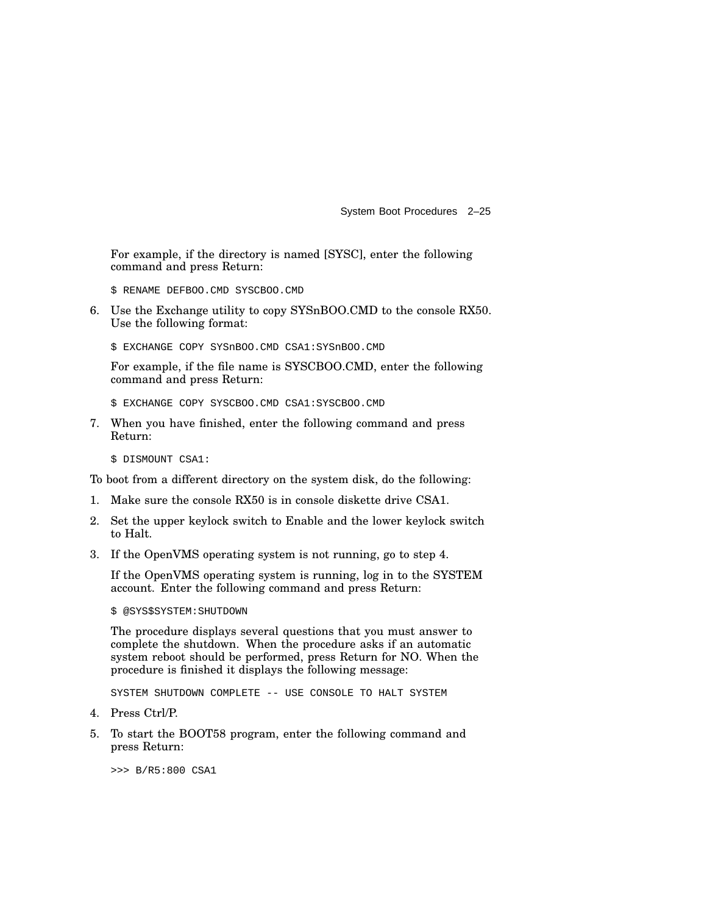For example, if the directory is named [SYSC], enter the following command and press Return:

\$ RENAME DEFBOO.CMD SYSCBOO.CMD

6. Use the Exchange utility to copy SYSnBOO.CMD to the console RX50. Use the following format:

\$ EXCHANGE COPY SYSnBOO.CMD CSA1:SYSnBOO.CMD

For example, if the file name is SYSCBOO.CMD, enter the following command and press Return:

\$ EXCHANGE COPY SYSCBOO.CMD CSA1:SYSCBOO.CMD

7. When you have finished, enter the following command and press Return:

\$ DISMOUNT CSA1:

To boot from a different directory on the system disk, do the following:

- 1. Make sure the console RX50 is in console diskette drive CSA1.
- 2. Set the upper keylock switch to Enable and the lower keylock switch to Halt.
- 3. If the OpenVMS operating system is not running, go to step 4.

If the OpenVMS operating system is running, log in to the SYSTEM account. Enter the following command and press Return:

\$ @SYS\$SYSTEM:SHUTDOWN

The procedure displays several questions that you must answer to complete the shutdown. When the procedure asks if an automatic system reboot should be performed, press Return for NO. When the procedure is finished it displays the following message:

SYSTEM SHUTDOWN COMPLETE -- USE CONSOLE TO HALT SYSTEM

- 4. Press Ctrl/P.
- 5. To start the BOOT58 program, enter the following command and press Return:

>>> B/R5:800 CSA1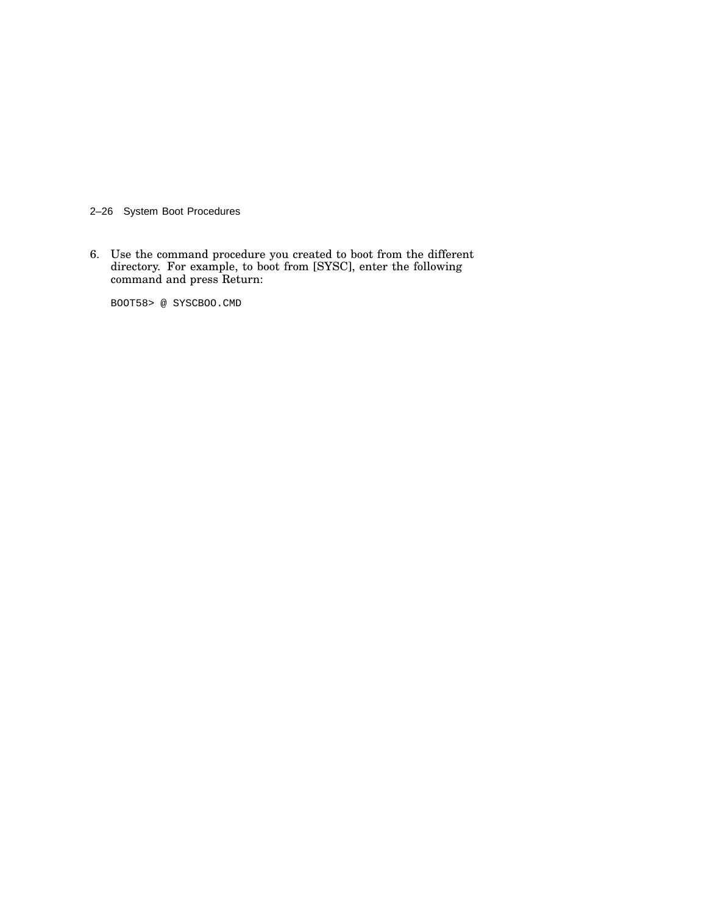2–26 System Boot Procedures

6. Use the command procedure you created to boot from the different directory. For example, to boot from [SYSC], enter the following command and press Return:

BOOT58> @ SYSCBOO.CMD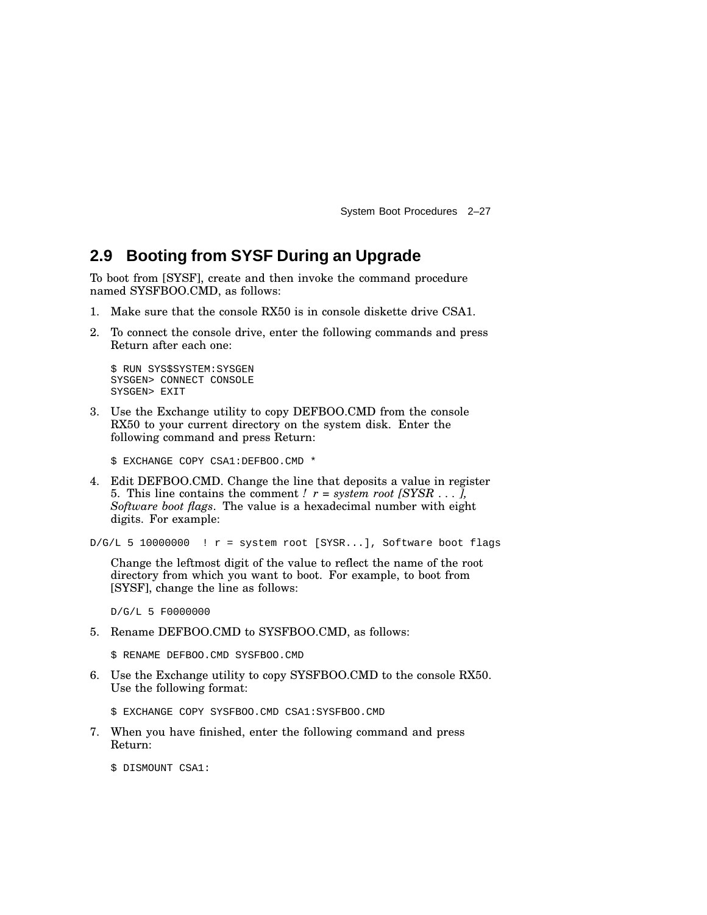### **2.9 Booting from SYSF During an Upgrade**

To boot from [SYSF], create and then invoke the command procedure named SYSFBOO.CMD, as follows:

- 1. Make sure that the console RX50 is in console diskette drive CSA1.
- 2. To connect the console drive, enter the following commands and press Return after each one:

```
$ RUN SYS$SYSTEM:SYSGEN
SYSGEN> CONNECT CONSOLE
SYSGEN> EXIT
```
3. Use the Exchange utility to copy DEFBOO.CMD from the console RX50 to your current directory on the system disk. Enter the following command and press Return:

\$ EXCHANGE COPY CSA1:DEFBOO.CMD \*

4. Edit DEFBOO.CMD. Change the line that deposits a value in register 5. This line contains the comment *!*  $r = system root *[SYSR ...]*$ *Software boot flags*. The value is a hexadecimal number with eight digits. For example:

 $D/G/L$  5 10000000 ! r = system root [SYSR...], Software boot flags

Change the leftmost digit of the value to reflect the name of the root directory from which you want to boot. For example, to boot from [SYSF], change the line as follows:

D/G/L 5 F0000000

5. Rename DEFBOO.CMD to SYSFBOO.CMD, as follows:

\$ RENAME DEFBOO.CMD SYSFBOO.CMD

6. Use the Exchange utility to copy SYSFBOO.CMD to the console RX50. Use the following format:

\$ EXCHANGE COPY SYSFBOO.CMD CSA1:SYSFBOO.CMD

7. When you have finished, enter the following command and press Return:

\$ DISMOUNT CSA1: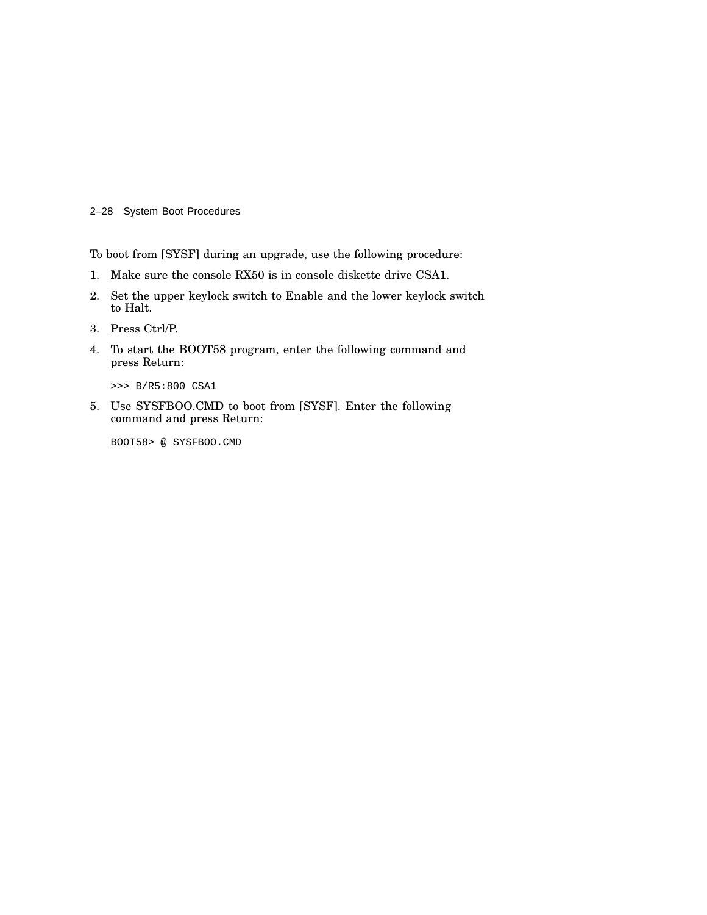2–28 System Boot Procedures

To boot from [SYSF] during an upgrade, use the following procedure:

- 1. Make sure the console RX50 is in console diskette drive CSA1.
- 2. Set the upper keylock switch to Enable and the lower keylock switch to Halt.
- 3. Press Ctrl/P.
- 4. To start the BOOT58 program, enter the following command and press Return:

>>> B/R5:800 CSA1

5. Use SYSFBOO.CMD to boot from [SYSF]. Enter the following command and press Return:

BOOT58> @ SYSFBOO.CMD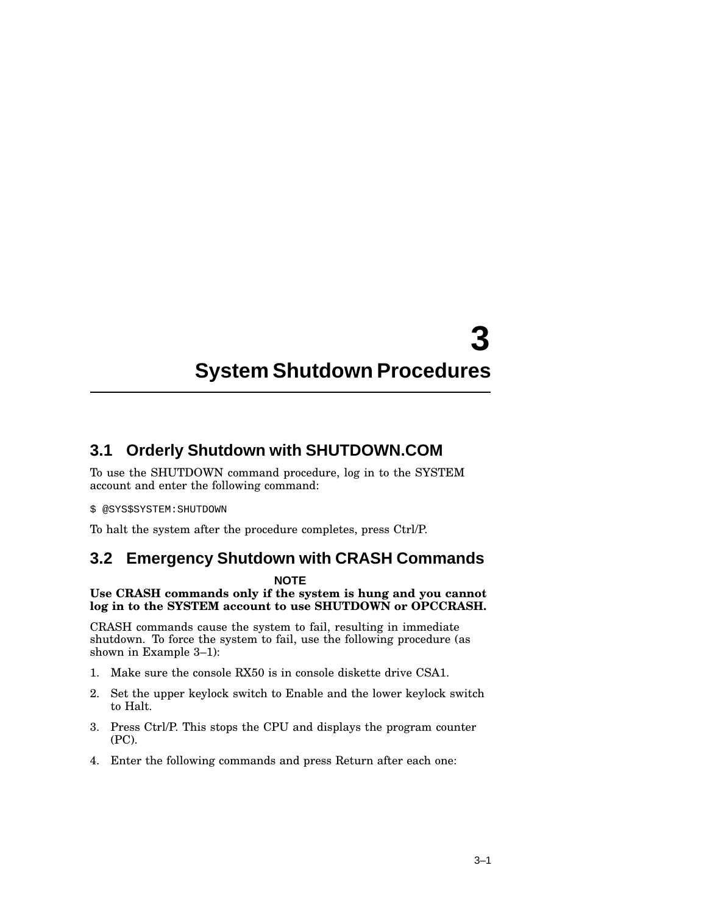# **3 System Shutdown Procedures**

### **3.1 Orderly Shutdown with SHUTDOWN.COM**

To use the SHUTDOWN command procedure, log in to the SYSTEM account and enter the following command:

#### \$ @SYS\$SYSTEM:SHUTDOWN

To halt the system after the procedure completes, press Ctrl/P.

### **3.2 Emergency Shutdown with CRASH Commands**

#### **NOTE**

#### **Use CRASH commands only if the system is hung and you cannot log in to the SYSTEM account to use SHUTDOWN or OPCCRASH.**

CRASH commands cause the system to fail, resulting in immediate shutdown. To force the system to fail, use the following procedure (as shown in Example 3–1):

- 1. Make sure the console RX50 is in console diskette drive CSA1.
- 2. Set the upper keylock switch to Enable and the lower keylock switch to Halt.
- 3. Press Ctrl/P. This stops the CPU and displays the program counter (PC).
- 4. Enter the following commands and press Return after each one: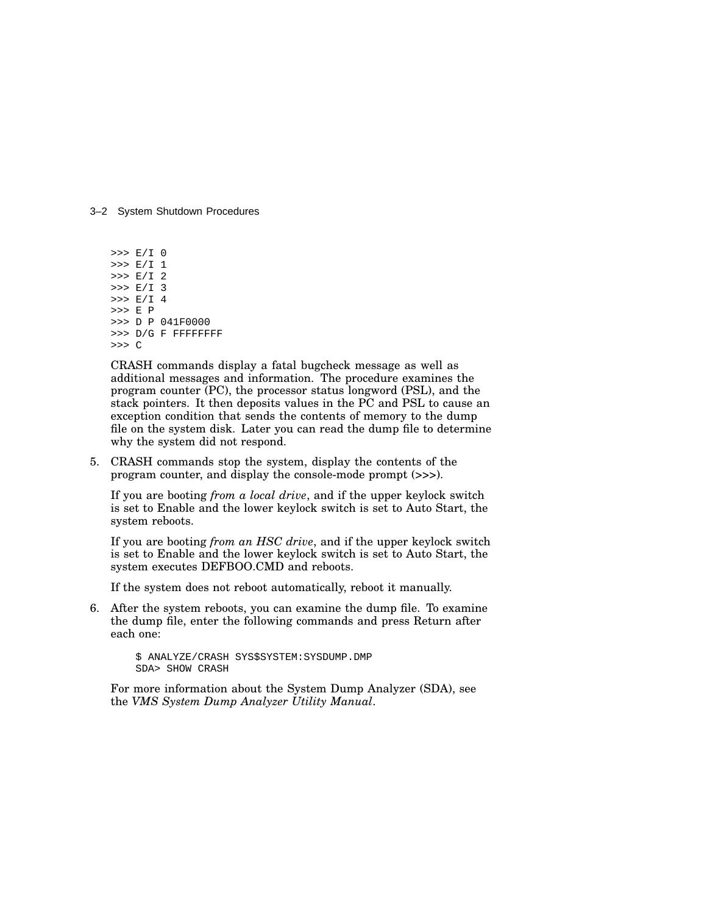#### 3–2 System Shutdown Procedures

>>> E/I 0 >>> E/I 1 >>> E/I 2 >>> E/I 3 >>> E/I 4 >>> E P >>> D P 041F0000 >>> D/G F FFFFFFFF >>> C

CRASH commands display a fatal bugcheck message as well as additional messages and information. The procedure examines the program counter (PC), the processor status longword (PSL), and the stack pointers. It then deposits values in the PC and PSL to cause an exception condition that sends the contents of memory to the dump file on the system disk. Later you can read the dump file to determine why the system did not respond.

5. CRASH commands stop the system, display the contents of the program counter, and display the console-mode prompt (>>>).

If you are booting *from a local drive*, and if the upper keylock switch is set to Enable and the lower keylock switch is set to Auto Start, the system reboots.

If you are booting *from an HSC drive*, and if the upper keylock switch is set to Enable and the lower keylock switch is set to Auto Start, the system executes DEFBOO.CMD and reboots.

If the system does not reboot automatically, reboot it manually.

6. After the system reboots, you can examine the dump file. To examine the dump file, enter the following commands and press Return after each one:

> \$ ANALYZE/CRASH SYS\$SYSTEM:SYSDUMP.DMP SDA> SHOW CRASH

For more information about the System Dump Analyzer (SDA), see the *VMS System Dump Analyzer Utility Manual*.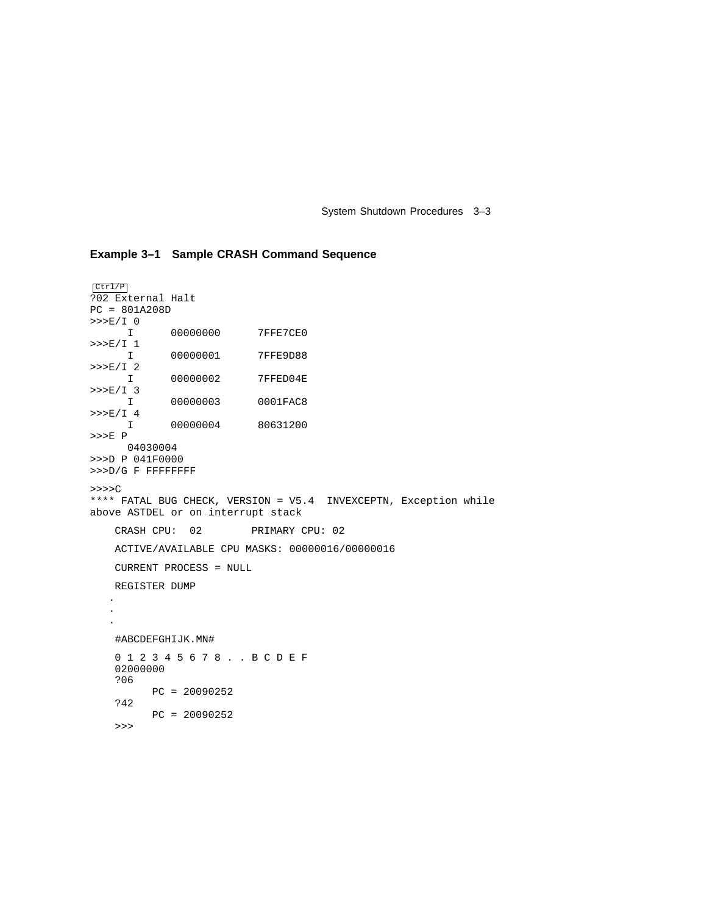System Shutdown Procedures 3–3

#### **Example 3–1 Sample CRASH Command Sequence**

```
Ctrl/P
?02 External Halt
PC = 801A208D
>>>E/I 0
    I 00000000 7FFE7CE0
>>>E/I 1
    I 00000001 7FFE9D88
>>>E/I 2
    I 00000002 7FFED04E
>>>E/I 3
     I 00000003 0001FAC8
>>>E/I 4
    I 00000004 80631200
>>>E P
     04030004
>>>D P 041F0000
>>>D/G F FFFFFFFF
>>>>C
**** FATAL BUG CHECK, VERSION = V5.4 INVEXCEPTN, Exception while
above ASTDEL or on interrupt stack
   CRASH CPU: 02 PRIMARY CPU: 02
   ACTIVE/AVAILABLE CPU MASKS: 00000016/00000016
   CURRENT PROCESS = NULL
   REGISTER DUMP
   .
   .
   .
   #ABCDEFGHIJK.MN#
   0 1 2 3 4 5 6 7 8 . . B C D E F
   02000000
   ?06
         PC = 20090252
    ?42
         PC = 20090252
   >>>
```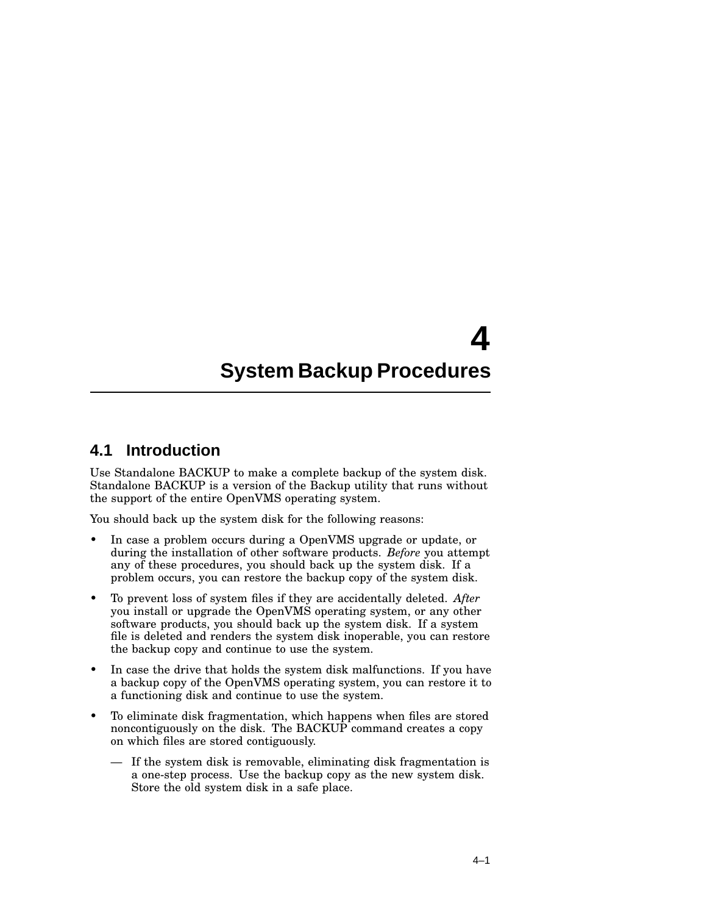# **4 System Backup Procedures**

### **4.1 Introduction**

Use Standalone BACKUP to make a complete backup of the system disk. Standalone BACKUP is a version of the Backup utility that runs without the support of the entire OpenVMS operating system.

You should back up the system disk for the following reasons:

- In case a problem occurs during a OpenVMS upgrade or update, or during the installation of other software products. *Before* you attempt any of these procedures, you should back up the system disk. If a problem occurs, you can restore the backup copy of the system disk.
- To prevent loss of system files if they are accidentally deleted. *After* you install or upgrade the OpenVMS operating system, or any other software products, you should back up the system disk. If a system file is deleted and renders the system disk inoperable, you can restore the backup copy and continue to use the system.
- In case the drive that holds the system disk malfunctions. If you have a backup copy of the OpenVMS operating system, you can restore it to a functioning disk and continue to use the system.
- To eliminate disk fragmentation, which happens when files are stored noncontiguously on the disk. The BACKUP command creates a copy on which files are stored contiguously.
	- If the system disk is removable, eliminating disk fragmentation is a one-step process. Use the backup copy as the new system disk. Store the old system disk in a safe place.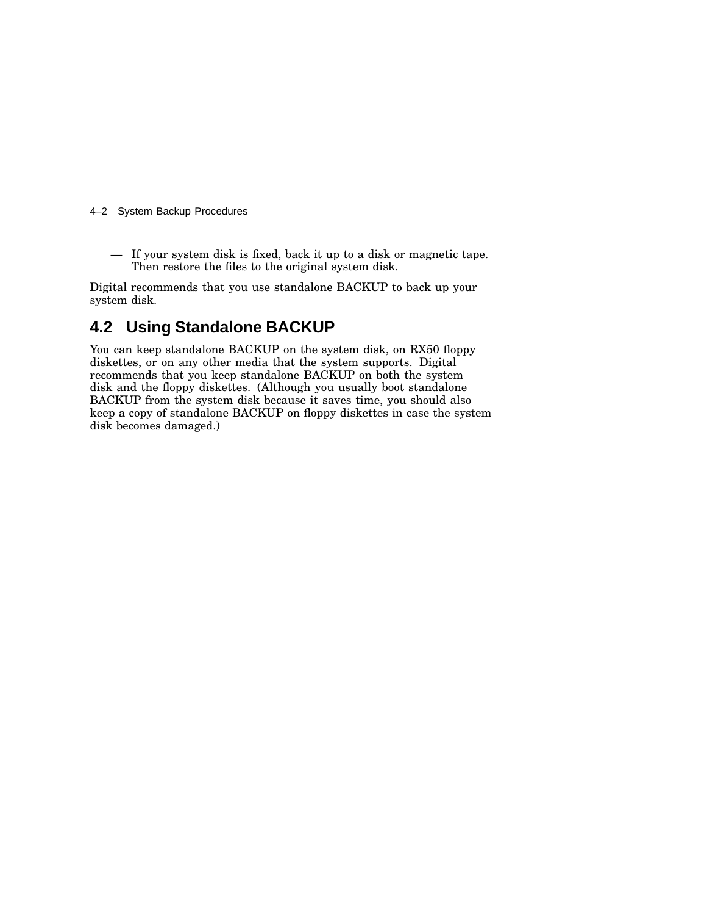#### 4–2 System Backup Procedures

— If your system disk is fixed, back it up to a disk or magnetic tape. Then restore the files to the original system disk.

Digital recommends that you use standalone BACKUP to back up your system disk.

### **4.2 Using Standalone BACKUP**

You can keep standalone BACKUP on the system disk, on RX50 floppy diskettes, or on any other media that the system supports. Digital recommends that you keep standalone BACKUP on both the system disk and the floppy diskettes. (Although you usually boot standalone BACKUP from the system disk because it saves time, you should also keep a copy of standalone BACKUP on floppy diskettes in case the system disk becomes damaged.)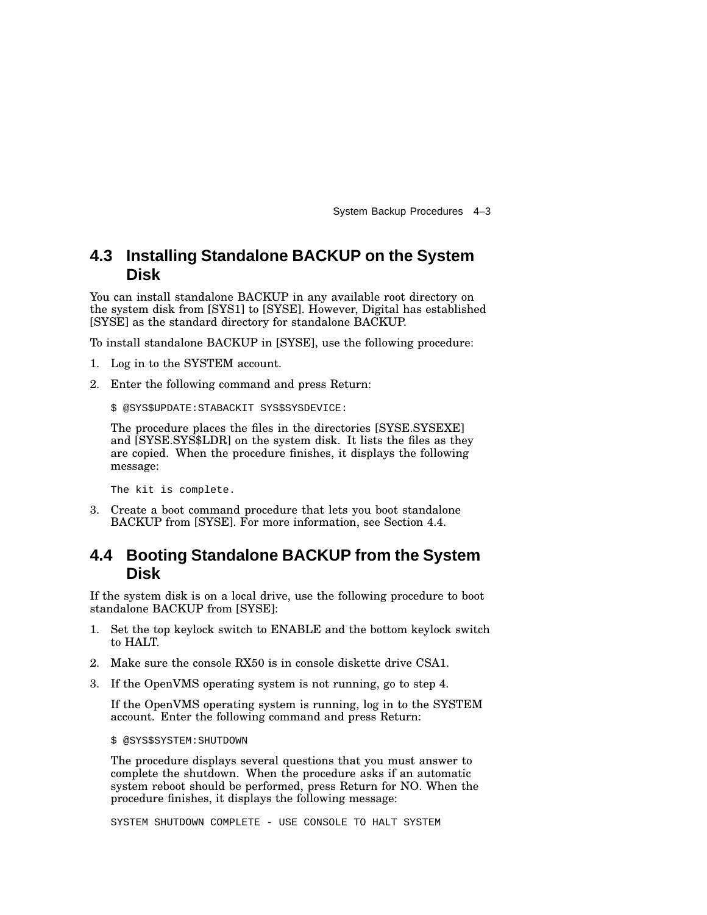System Backup Procedures 4–3

### **4.3 Installing Standalone BACKUP on the System Disk**

You can install standalone BACKUP in any available root directory on the system disk from [SYS1] to [SYSE]. However, Digital has established [SYSE] as the standard directory for standalone BACKUP.

To install standalone BACKUP in [SYSE], use the following procedure:

- 1. Log in to the SYSTEM account.
- 2. Enter the following command and press Return:

```
$ @SYS$UPDATE:STABACKIT SYS$SYSDEVICE:
```
The procedure places the files in the directories [SYSE.SYSEXE] and [SYSE.SYS\$LDR] on the system disk. It lists the files as they are copied. When the procedure finishes, it displays the following message:

The kit is complete.

3. Create a boot command procedure that lets you boot standalone BACKUP from [SYSE]. For more information, see Section 4.4.

### **4.4 Booting Standalone BACKUP from the System Disk**

If the system disk is on a local drive, use the following procedure to boot standalone BACKUP from [SYSE]:

- 1. Set the top keylock switch to ENABLE and the bottom keylock switch to HALT.
- 2. Make sure the console RX50 is in console diskette drive CSA1.
- 3. If the OpenVMS operating system is not running, go to step 4.

If the OpenVMS operating system is running, log in to the SYSTEM account. Enter the following command and press Return:

\$ @SYS\$SYSTEM:SHUTDOWN

The procedure displays several questions that you must answer to complete the shutdown. When the procedure asks if an automatic system reboot should be performed, press Return for NO. When the procedure finishes, it displays the following message:

SYSTEM SHUTDOWN COMPLETE - USE CONSOLE TO HALT SYSTEM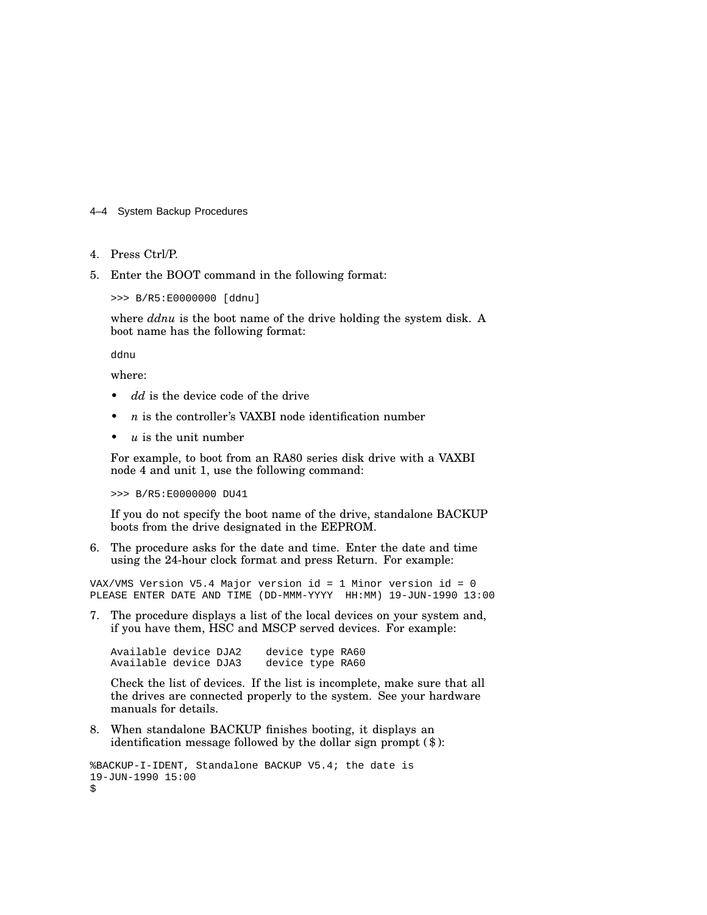#### 4–4 System Backup Procedures

- 4. Press Ctrl/P.
- 5. Enter the BOOT command in the following format:

>>> B/R5:E0000000 [ddnu]

where *ddnu* is the boot name of the drive holding the system disk. A boot name has the following format:

ddnu

where:

- dd is the device code of the drive
- *n* is the controller's VAXBI node identification number
- $u$  is the unit number

For example, to boot from an RA80 series disk drive with a VAXBI node 4 and unit 1, use the following command:

>>> B/R5:E0000000 DU41

If you do not specify the boot name of the drive, standalone BACKUP boots from the drive designated in the EEPROM.

6. The procedure asks for the date and time. Enter the date and time using the 24-hour clock format and press Return. For example:

VAX/VMS Version V5.4 Major version id = 1 Minor version id = 0 PLEASE ENTER DATE AND TIME (DD-MMM-YYYY HH:MM) 19-JUN-1990 13:00

7. The procedure displays a list of the local devices on your system and, if you have them, HSC and MSCP served devices. For example:

Available device DJA2 device type RA60 Available device DJA3 device type RA60

Check the list of devices. If the list is incomplete, make sure that all the drives are connected properly to the system. See your hardware manuals for details.

8. When standalone BACKUP finishes booting, it displays an identification message followed by the dollar sign prompt (\$):

```
%BACKUP-I-IDENT, Standalone BACKUP V5.4; the date is
19-JUN-1990 15:00
$
```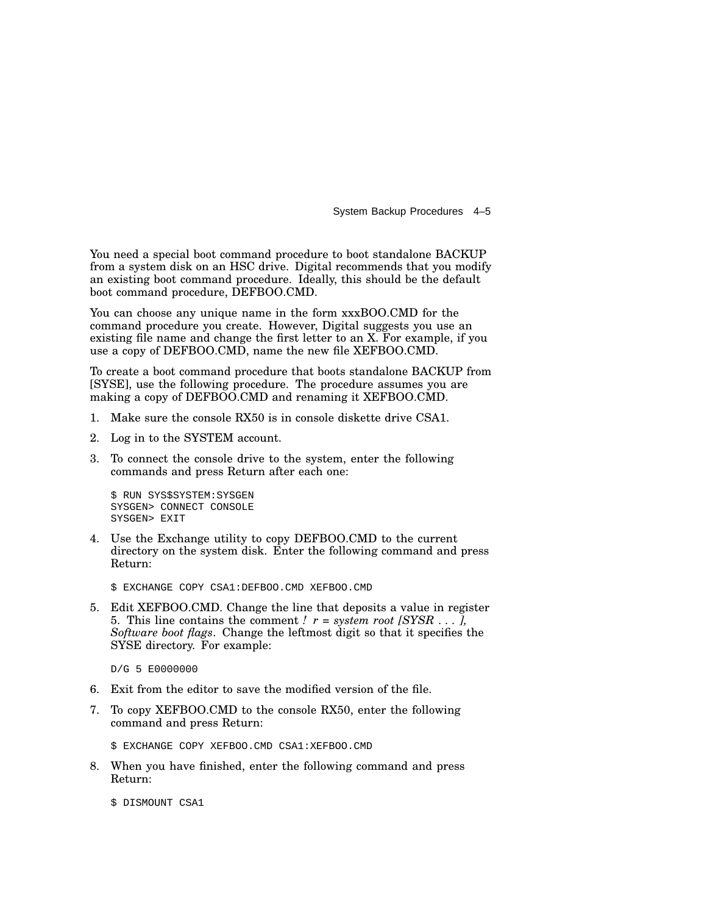System Backup Procedures 4–5

You need a special boot command procedure to boot standalone BACKUP from a system disk on an HSC drive. Digital recommends that you modify an existing boot command procedure. Ideally, this should be the default boot command procedure, DEFBOO.CMD.

You can choose any unique name in the form  $xxxBOO.CMD$  for the command procedure you create. However, Digital suggests you use an existing file name and change the first letter to an X. For example, if you use a copy of DEFBOO.CMD, name the new file XEFBOO.CMD.

To create a boot command procedure that boots standalone BACKUP from [SYSE], use the following procedure. The procedure assumes you are making a copy of DEFBOO.CMD and renaming it XEFBOO.CMD.

- 1. Make sure the console RX50 is in console diskette drive CSA1.
- 2. Log in to the SYSTEM account.
- 3. To connect the console drive to the system, enter the following commands and press Return after each one:

\$ RUN SYS\$SYSTEM:SYSGEN SYSGEN> CONNECT CONSOLE SYSGEN> EXIT

4. Use the Exchange utility to copy DEFBOO.CMD to the current directory on the system disk. Enter the following command and press Return:

\$ EXCHANGE COPY CSA1:DEFBOO.CMD XEFBOO.CMD

5. Edit XEFBOO.CMD. Change the line that deposits a value in register 5. This line contains the comment *!*  $r = system root [SYSR ...]$ , *Software boot flags*. Change the leftmost digit so that it specifies the SYSE directory. For example:

D/G 5 E0000000

- 6. Exit from the editor to save the modified version of the file.
- 7. To copy XEFBOO.CMD to the console RX50, enter the following command and press Return:

\$ EXCHANGE COPY XEFBOO.CMD CSA1:XEFBOO.CMD

8. When you have finished, enter the following command and press Return:

\$ DISMOUNT CSA1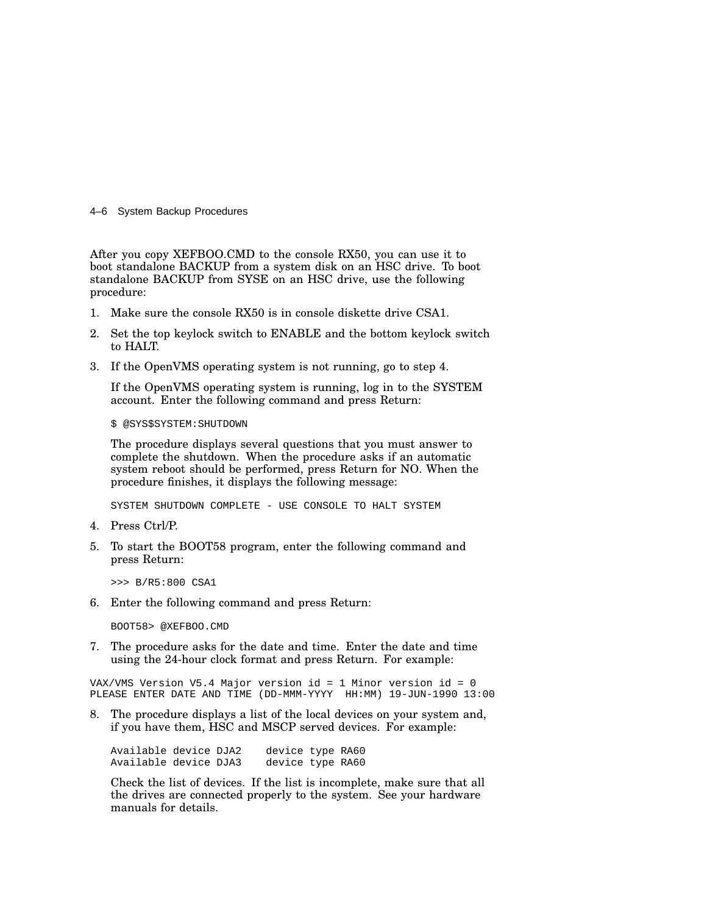#### 4–6 System Backup Procedures

After you copy XEFBOO.CMD to the console RX50, you can use it to boot standalone BACKUP from a system disk on an HSC drive. To boot standalone BACKUP from SYSE on an HSC drive, use the following procedure:

- 1. Make sure the console RX50 is in console diskette drive CSA1.
- 2. Set the top keylock switch to ENABLE and the bottom keylock switch to HALT.
- 3. If the OpenVMS operating system is not running, go to step 4.

If the OpenVMS operating system is running, log in to the SYSTEM account. Enter the following command and press Return:

\$ @SYS\$SYSTEM:SHUTDOWN

The procedure displays several questions that you must answer to complete the shutdown. When the procedure asks if an automatic system reboot should be performed, press Return for NO. When the procedure finishes, it displays the following message:

SYSTEM SHUTDOWN COMPLETE - USE CONSOLE TO HALT SYSTEM

- 4. Press Ctrl/P.
- 5. To start the BOOT58 program, enter the following command and press Return:

>>> B/R5:800 CSA1

6. Enter the following command and press Return:

BOOT58> @XEFBOO.CMD

7. The procedure asks for the date and time. Enter the date and time using the 24-hour clock format and press Return. For example:

VAX/VMS Version V5.4 Major version id = 1 Minor version id = 0 PLEASE ENTER DATE AND TIME (DD-MMM-YYYY HH:MM) 19-JUN-1990 13:00

8. The procedure displays a list of the local devices on your system and, if you have them, HSC and MSCP served devices. For example:

Available device DJA2 device type RA60 Available device DJA3

Check the list of devices. If the list is incomplete, make sure that all the drives are connected properly to the system. See your hardware manuals for details.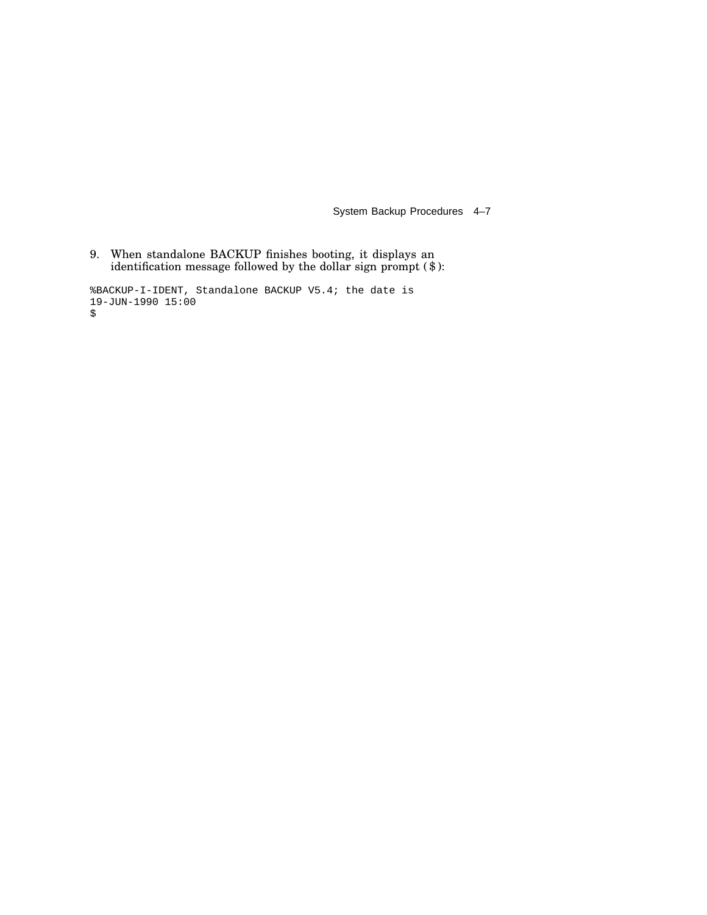System Backup Procedures 4–7

9. When standalone BACKUP finishes booting, it displays an identification message followed by the dollar sign prompt (\$):

%BACKUP-I-IDENT, Standalone BACKUP V5.4; the date is 19-JUN-1990 15:00 \$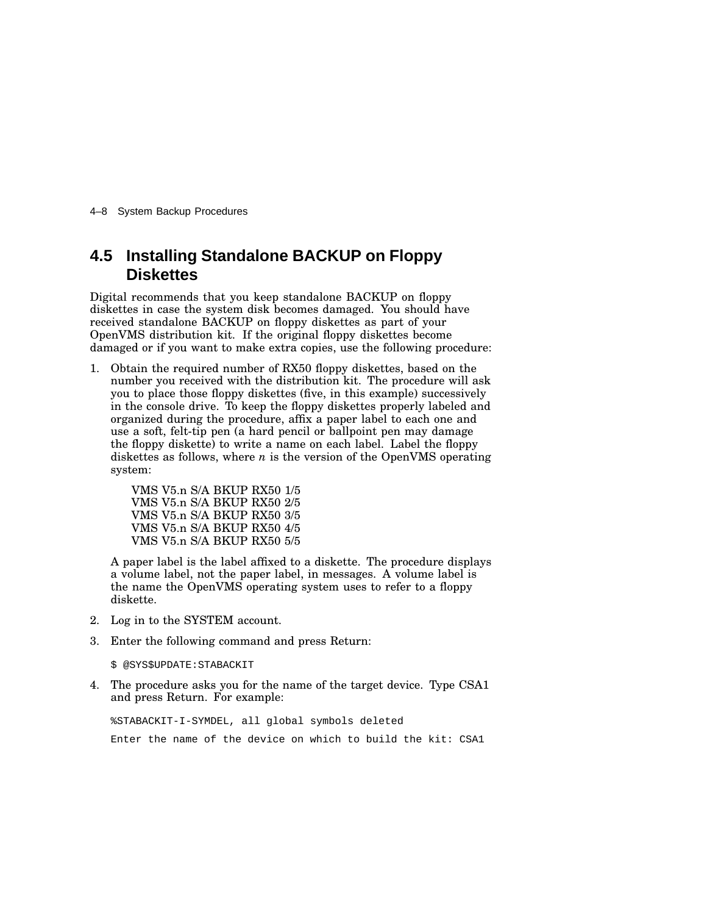4–8 System Backup Procedures

### **4.5 Installing Standalone BACKUP on Floppy Diskettes**

Digital recommends that you keep standalone BACKUP on floppy diskettes in case the system disk becomes damaged. You should have received standalone BACKUP on floppy diskettes as part of your OpenVMS distribution kit. If the original floppy diskettes become damaged or if you want to make extra copies, use the following procedure:

1. Obtain the required number of RX50 floppy diskettes, based on the number you received with the distribution kit. The procedure will ask you to place those floppy diskettes (five, in this example) successively in the console drive. To keep the floppy diskettes properly labeled and organized during the procedure, affix a paper label to each one and use a soft, felt-tip pen (a hard pencil or ballpoint pen may damage the floppy diskette) to write a name on each label. Label the floppy diskettes as follows, where *n* is the version of the OpenVMS operating system:

> VMS V5.n S/A BKUP RX50 1/5 VMS V5.n S/A BKUP RX50 2/5 VMS V5.n S/A BKUP RX50 3/5 VMS V5.n S/A BKUP RX50 4/5 VMS V5.n S/A BKUP RX50 5/5

A paper label is the label affixed to a diskette. The procedure displays a volume label, not the paper label, in messages. A volume label is the name the OpenVMS operating system uses to refer to a floppy diskette.

- 2. Log in to the SYSTEM account.
- 3. Enter the following command and press Return:

\$ @SYS\$UPDATE:STABACKIT

4. The procedure asks you for the name of the target device. Type CSA1 and press Return. For example:

%STABACKIT-I-SYMDEL, all global symbols deleted

Enter the name of the device on which to build the kit: CSA1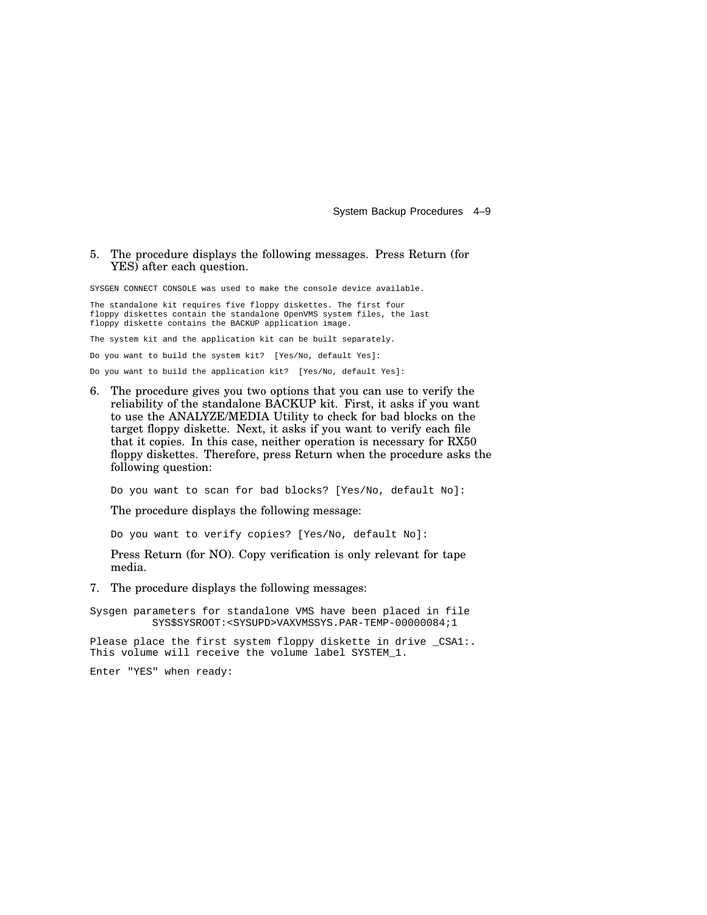System Backup Procedures 4–9

#### 5. The procedure displays the following messages. Press Return (for YES) after each question.

SYSGEN CONNECT CONSOLE was used to make the console device available.

The standalone kit requires five floppy diskettes. The first four floppy diskettes contain the standalone OpenVMS system files, the last floppy diskette contains the BACKUP application image.

The system kit and the application kit can be built separately.

Do you want to build the system kit? [Yes/No, default Yes]:

Do you want to build the application kit? [Yes/No, default Yes]:

6. The procedure gives you two options that you can use to verify the reliability of the standalone BACKUP kit. First, it asks if you want to use the ANALYZE/MEDIA Utility to check for bad blocks on the target floppy diskette. Next, it asks if you want to verify each file that it copies. In this case, neither operation is necessary for RX50 floppy diskettes. Therefore, press Return when the procedure asks the following question:

Do you want to scan for bad blocks? [Yes/No, default No]:

The procedure displays the following message:

Do you want to verify copies? [Yes/No, default No]:

Press Return (for NO). Copy verification is only relevant for tape media.

7. The procedure displays the following messages:

Sysgen parameters for standalone VMS have been placed in file SYS\$SYSROOT:<SYSUPD>VAXVMSSYS.PAR-TEMP-00000084;1

Please place the first system floppy diskette in drive \_CSA1:. This volume will receive the volume label SYSTEM\_1.

Enter "YES" when ready: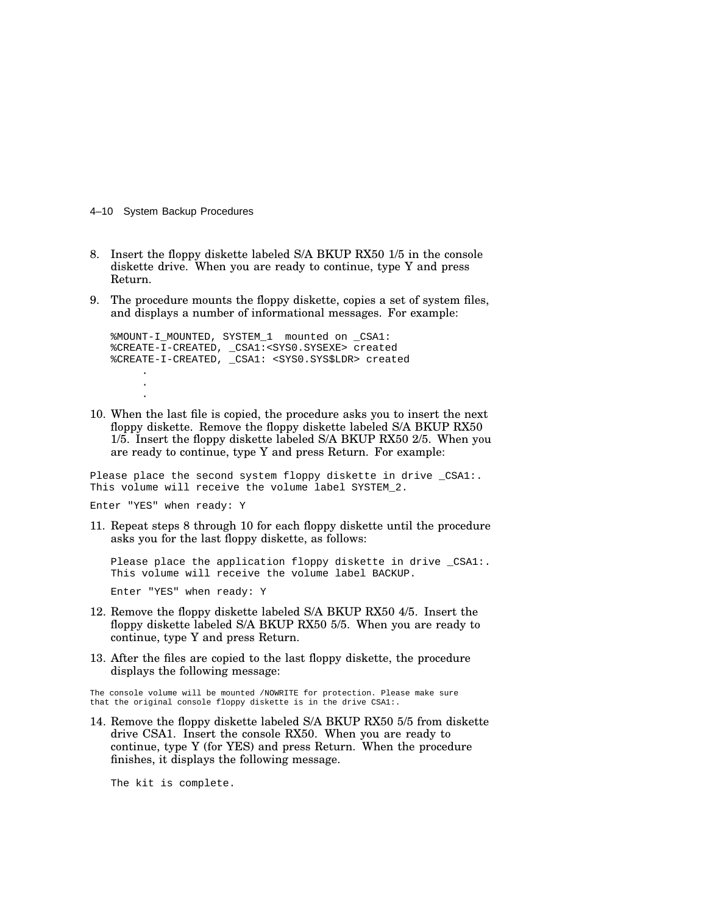4–10 System Backup Procedures

- 8. Insert the floppy diskette labeled S/A BKUP RX50 1/5 in the console diskette drive. When you are ready to continue, type Y and press Return.
- 9. The procedure mounts the floppy diskette, copies a set of system files, and displays a number of informational messages. For example:

%MOUNT-I\_MOUNTED, SYSTEM\_1 mounted on \_CSA1: %CREATE-I-CREATED, \_CSA1:<SYS0.SYSEXE> created %CREATE-I-CREATED, \_CSA1: <SYS0.SYS\$LDR> created . .

10. When the last file is copied, the procedure asks you to insert the next floppy diskette. Remove the floppy diskette labeled S/A BKUP RX50 1/5. Insert the floppy diskette labeled S/A BKUP RX50 2/5. When you are ready to continue, type Y and press Return. For example:

Please place the second system floppy diskette in drive \_CSA1:. This volume will receive the volume label SYSTEM\_2.

Enter "YES" when ready: Y

.

11. Repeat steps 8 through 10 for each floppy diskette until the procedure asks you for the last floppy diskette, as follows:

Please place the application floppy diskette in drive \_CSA1:. This volume will receive the volume label BACKUP.

Enter "YES" when ready: Y

- 12. Remove the floppy diskette labeled S/A BKUP RX50 4/5. Insert the floppy diskette labeled S/A BKUP RX50 5/5. When you are ready to continue, type Y and press Return.
- 13. After the files are copied to the last floppy diskette, the procedure displays the following message:

The console volume will be mounted /NOWRITE for protection. Please make sure that the original console floppy diskette is in the drive CSA1:.

14. Remove the floppy diskette labeled S/A BKUP RX50 5/5 from diskette drive CSA1. Insert the console RX50. When you are ready to continue, type Y (for YES) and press Return. When the procedure finishes, it displays the following message.

The kit is complete.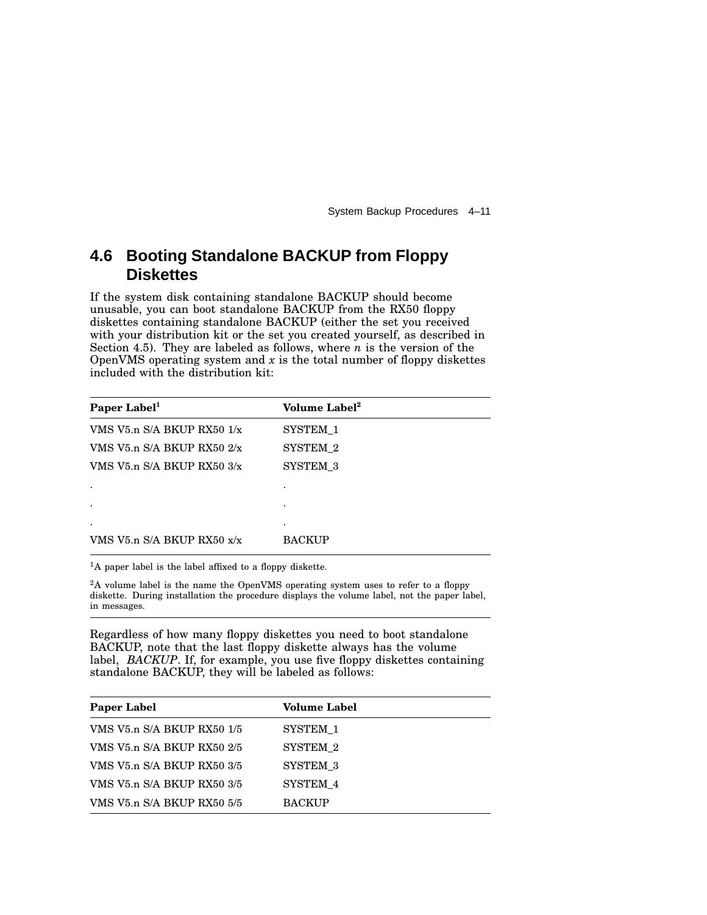System Backup Procedures 4–11

### **4.6 Booting Standalone BACKUP from Floppy Diskettes**

If the system disk containing standalone BACKUP should become unusable, you can boot standalone BACKUP from the RX50 floppy diskettes containing standalone BACKUP (either the set you received with your distribution kit or the set you created yourself, as described in Section 4.5). They are labeled as follows, where *n* is the version of the OpenVMS operating system and  $x$  is the total number of floppy diskettes included with the distribution kit:

| Paper Label <sup>1</sup>       | Volume Label <sup>2</sup> |
|--------------------------------|---------------------------|
| VMS V5.n $S/A$ BKUP RX50 $1/x$ | SYSTEM 1                  |
| VMS V5.n S/A BKUP RX50 $2/x$   | SYSTEM 2                  |
| VMS V5.n $S/A$ BKUP RX50 $3/x$ | SYSTEM 3                  |
|                                |                           |
|                                |                           |
| ٠                              | ٠                         |
| VMS V5.n $S/A$ BKUP RX50 $x/x$ | <b>BACKUP</b>             |

<sup>1</sup>A paper label is the label affixed to a floppy diskette.

<sup>2</sup>A volume label is the name the OpenVMS operating system uses to refer to a floppy diskette. During installation the procedure displays the volume label, not the paper label, in messages.

Regardless of how many floppy diskettes you need to boot standalone BACKUP, note that the last floppy diskette always has the volume label, *BACKUP*. If, for example, you use five floppy diskettes containing standalone BACKUP, they will be labeled as follows:

| <b>Paper Label</b>         | <b>Volume Label</b> |
|----------------------------|---------------------|
| VMS V5.n S/A BKUP RX50 1/5 | SYSTEM 1            |
| VMS V5.n S/A BKUP RX50 2/5 | SYSTEM 2            |
| VMS V5.n S/A BKUP RX50 3/5 | SYSTEM 3            |
| VMS V5.n S/A BKUP RX50 3/5 | SYSTEM 4            |
| VMS V5.n S/A BKUP RX50 5/5 | <b>BACKUP</b>       |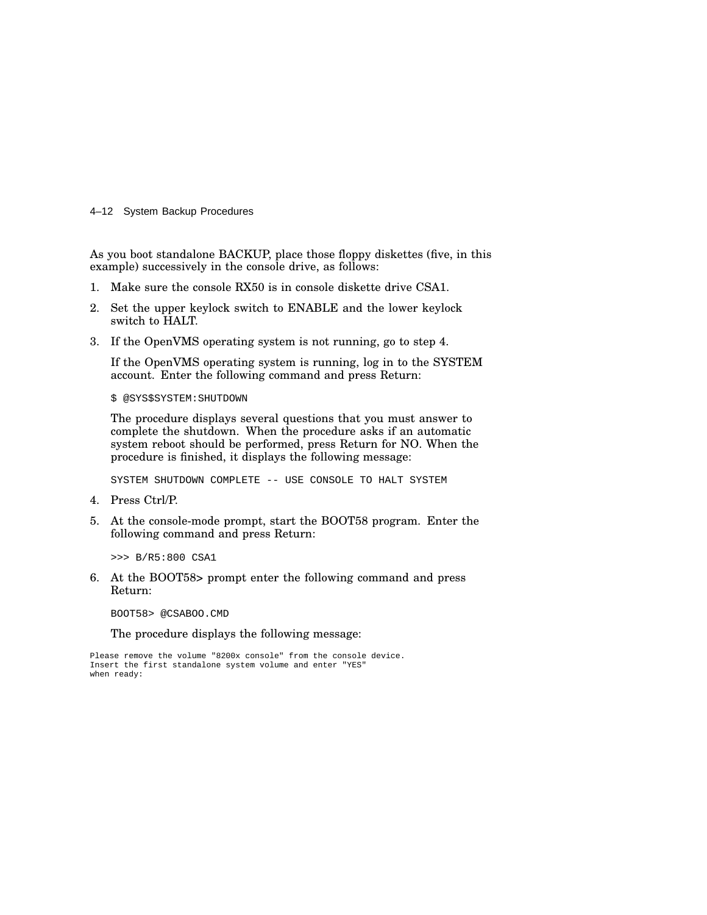4–12 System Backup Procedures

As you boot standalone BACKUP, place those floppy diskettes (five, in this example) successively in the console drive, as follows:

- 1. Make sure the console RX50 is in console diskette drive CSA1.
- 2. Set the upper keylock switch to ENABLE and the lower keylock switch to HALT.
- 3. If the OpenVMS operating system is not running, go to step 4.

If the OpenVMS operating system is running, log in to the SYSTEM account. Enter the following command and press Return:

\$ @SYS\$SYSTEM:SHUTDOWN

The procedure displays several questions that you must answer to complete the shutdown. When the procedure asks if an automatic system reboot should be performed, press Return for NO. When the procedure is finished, it displays the following message:

SYSTEM SHUTDOWN COMPLETE -- USE CONSOLE TO HALT SYSTEM

- 4. Press Ctrl/P.
- 5. At the console-mode prompt, start the BOOT58 program. Enter the following command and press Return:

>>> B/R5:800 CSA1

6. At the BOOT58> prompt enter the following command and press Return:

BOOT58> @CSABOO.CMD

The procedure displays the following message:

Please remove the volume "8200x console" from the console device. Insert the first standalone system volume and enter "YES" when ready: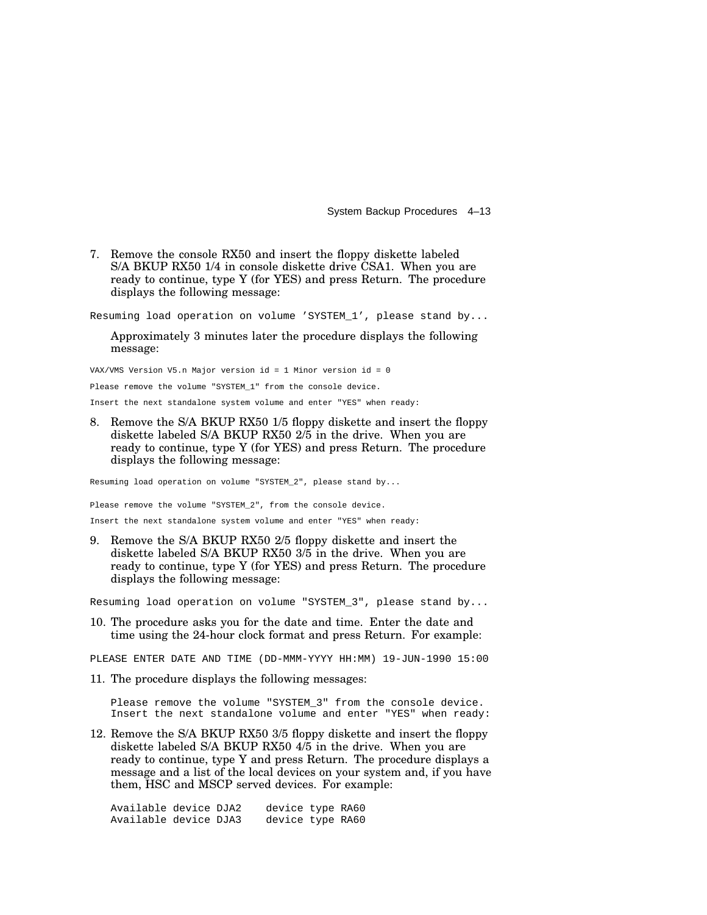System Backup Procedures 4–13

7. Remove the console RX50 and insert the floppy diskette labeled S/A BKUP RX50 1/4 in console diskette drive CSA1. When you are ready to continue, type Y (for YES) and press Return. The procedure displays the following message:

Resuming load operation on volume 'SYSTEM\_1', please stand by...

Approximately 3 minutes later the procedure displays the following message:

VAX/VMS Version V5.n Major version id = 1 Minor version id = 0

Please remove the volume "SYSTEM\_1" from the console device.

Insert the next standalone system volume and enter "YES" when ready:

8. Remove the S/A BKUP RX50 1/5 floppy diskette and insert the floppy diskette labeled S/A BKUP RX50 2/5 in the drive. When you are ready to continue, type Y (for YES) and press Return. The procedure displays the following message:

Resuming load operation on volume "SYSTEM\_2", please stand by...

Please remove the volume "SYSTEM\_2", from the console device.

Insert the next standalone system volume and enter "YES" when ready:

9. Remove the S/A BKUP RX50 2/5 floppy diskette and insert the diskette labeled S/A BKUP RX50 3/5 in the drive. When you are ready to continue, type Y (for YES) and press Return. The procedure displays the following message:

Resuming load operation on volume "SYSTEM\_3", please stand by...

10. The procedure asks you for the date and time. Enter the date and time using the 24-hour clock format and press Return. For example:

PLEASE ENTER DATE AND TIME (DD-MMM-YYYY HH:MM) 19-JUN-1990 15:00

11. The procedure displays the following messages:

Please remove the volume "SYSTEM\_3" from the console device. Insert the next standalone volume and enter "YES" when ready:

12. Remove the S/A BKUP RX50 3/5 floppy diskette and insert the floppy diskette labeled S/A BKUP RX50 4/5 in the drive. When you are ready to continue, type Y and press Return. The procedure displays a message and a list of the local devices on your system and, if you have them, HSC and MSCP served devices. For example:

Available device DJA2 device type RA60 Available device DJA3 device type RA60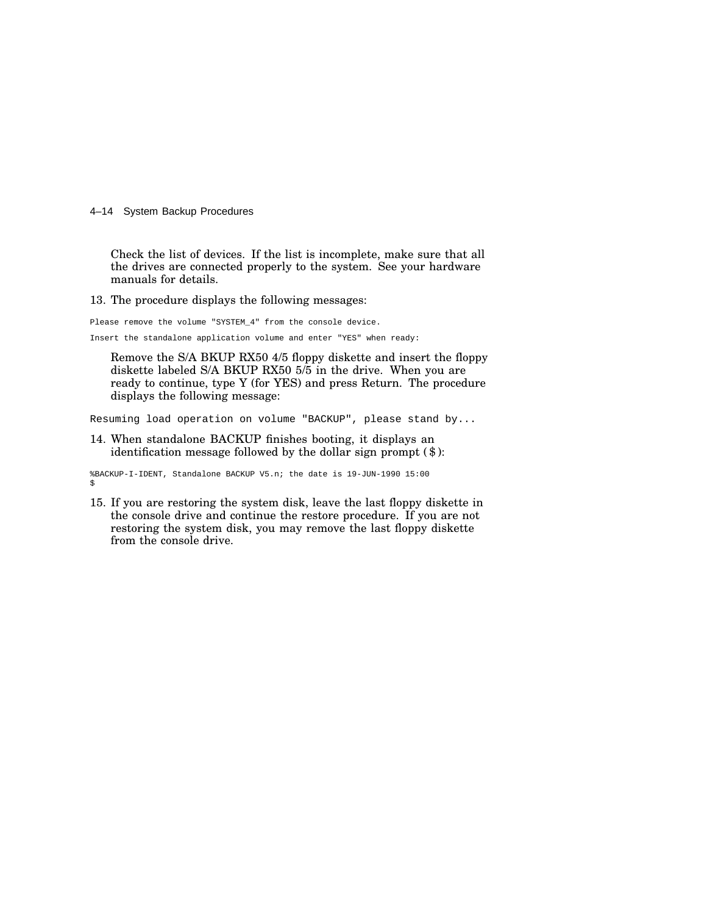4–14 System Backup Procedures

Check the list of devices. If the list is incomplete, make sure that all the drives are connected properly to the system. See your hardware manuals for details.

13. The procedure displays the following messages:

Please remove the volume "SYSTEM\_4" from the console device. Insert the standalone application volume and enter "YES" when ready:

Remove the S/A BKUP RX50 4/5 floppy diskette and insert the floppy diskette labeled S/A BKUP RX50 5/5 in the drive. When you are ready to continue, type Y (for YES) and press Return. The procedure displays the following message:

Resuming load operation on volume "BACKUP", please stand by...

14. When standalone BACKUP finishes booting, it displays an identification message followed by the dollar sign prompt (\$):

%BACKUP-I-IDENT, Standalone BACKUP V5.n; the date is 19-JUN-1990 15:00 \$

15. If you are restoring the system disk, leave the last floppy diskette in the console drive and continue the restore procedure. If you are not restoring the system disk, you may remove the last floppy diskette from the console drive.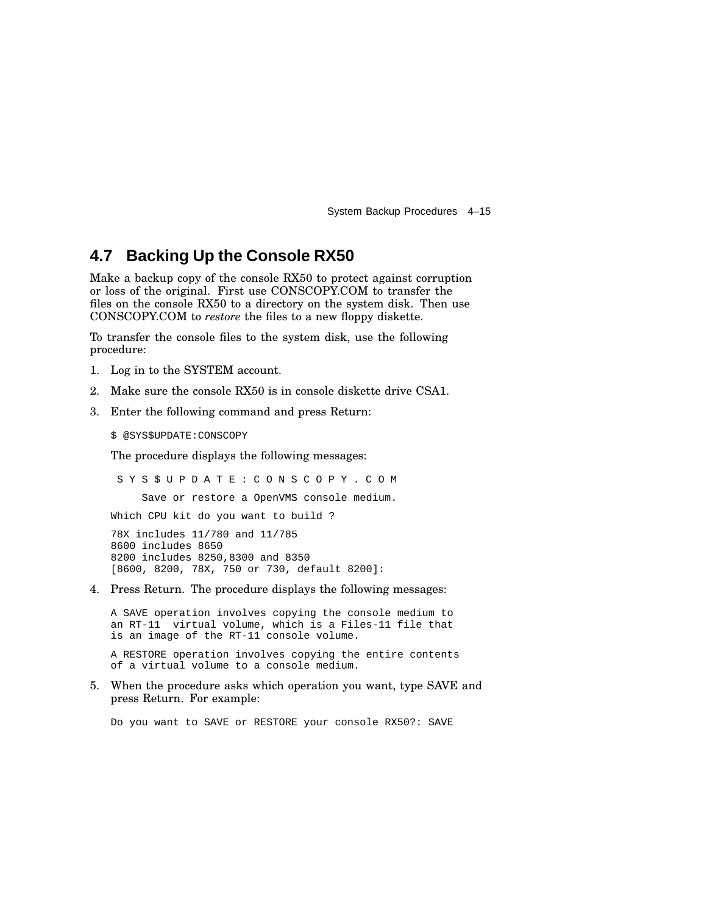System Backup Procedures 4–15

### **4.7 Backing Up the Console RX50**

Make a backup copy of the console RX50 to protect against corruption or loss of the original. First use CONSCOPY.COM to transfer the files on the console RX50 to a directory on the system disk. Then use CONSCOPY.COM to *restore* the files to a new floppy diskette.

To transfer the console files to the system disk, use the following procedure:

- 1. Log in to the SYSTEM account.
- 2. Make sure the console RX50 is in console diskette drive CSA1.
- 3. Enter the following command and press Return:

\$ @SYS\$UPDATE:CONSCOPY

The procedure displays the following messages:

S Y S \$ U P D A T E : C O N S C O P Y . C O M Save or restore a OpenVMS console medium. Which CPU kit do you want to build ? 78X includes 11/780 and 11/785 8600 includes 8650 8200 includes 8250,8300 and 8350 [8600, 8200, 78X, 750 or 730, default 8200]:

4. Press Return. The procedure displays the following messages:

A SAVE operation involves copying the console medium to an RT-11 virtual volume, which is a Files-11 file that is an image of the RT-11 console volume.

A RESTORE operation involves copying the entire contents of a virtual volume to a console medium.

5. When the procedure asks which operation you want, type SAVE and press Return. For example:

Do you want to SAVE or RESTORE your console RX50?: SAVE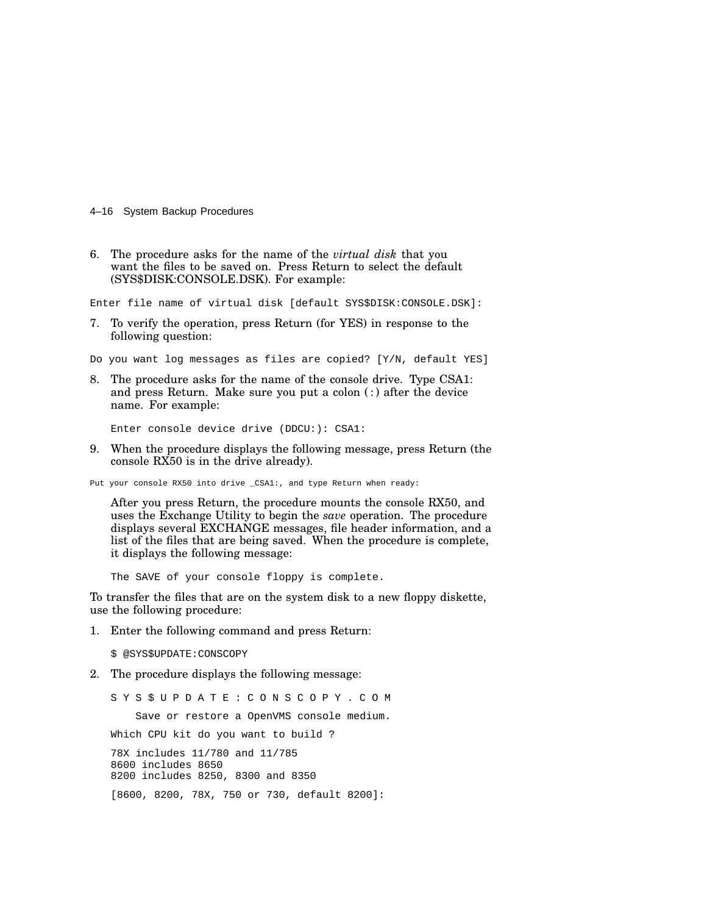4–16 System Backup Procedures

6. The procedure asks for the name of the *virtual disk* that you want the files to be saved on. Press Return to select the default (SYS\$DISK:CONSOLE.DSK). For example:

Enter file name of virtual disk [default SYS\$DISK:CONSOLE.DSK]:

- 7. To verify the operation, press Return (for YES) in response to the following question:
- Do you want log messages as files are copied? [Y/N, default YES]
- 8. The procedure asks for the name of the console drive. Type CSA1: and press Return. Make sure you put a colon (:) after the device name. For example:

Enter console device drive (DDCU:): CSA1:

9. When the procedure displays the following message, press Return (the console RX50 is in the drive already).

Put your console RX50 into drive \_CSA1:, and type Return when ready:

After you press Return, the procedure mounts the console RX50, and uses the Exchange Utility to begin the *save* operation. The procedure displays several EXCHANGE messages, file header information, and a list of the files that are being saved. When the procedure is complete, it displays the following message:

The SAVE of your console floppy is complete.

To transfer the files that are on the system disk to a new floppy diskette, use the following procedure:

1. Enter the following command and press Return:

\$ @SYS\$UPDATE:CONSCOPY

2. The procedure displays the following message:

S Y S \$ U P D A T E : C O N S C O P Y . C O M Save or restore a OpenVMS console medium. Which CPU kit do you want to build ? 78X includes 11/780 and 11/785 8600 includes 8650 8200 includes 8250, 8300 and 8350 [8600, 8200, 78X, 750 or 730, default 8200]: